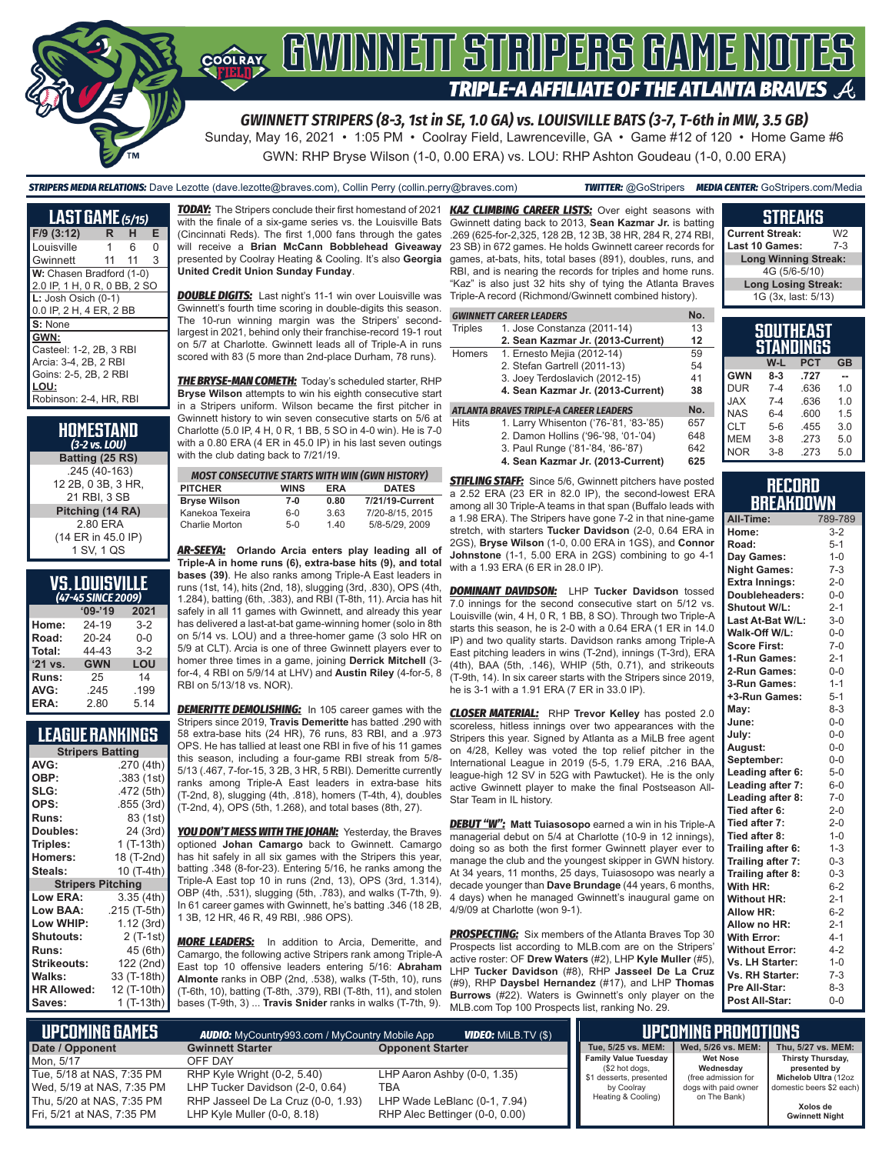# COORAY GWINNETT STRIPERS GAME NOTES TRIPLE-A AFFILIATE OF THE ATLANTA BRAVES  $\mathcal A$

*GWINNETT STRIPERS (8-3, 1st in SE, 1.0 GA) vs. LOUISVILLE BATS (3-7, T-6th in MW, 3.5 GB)*

Sunday, May 16, 2021 • 1:05 PM • Coolray Field, Lawrenceville, GA • Game #12 of 120 • Home Game #6 GWN: RHP Bryse Wilson (1-0, 0.00 ERA) vs. LOU: RHP Ashton Goudeau (1-0, 0.00 ERA)

*STRIPERS MEDIA RELATIONS:* Dave Lezotte (dave.lezotte@braves.com), Collin Perry (collin.perry@braves.com) *TWITTER:* @GoStripers *MEDIA CENTER:* GoStripers.com/Media

#### **LAST GAME** *(5/15)* **F/9 (3:12) R H E** Louisville 1 Gwinnett 11 11 3 **W:** Chasen Bradford (1-0) 2.0 IP, 1 H, 0 R, 0 BB, 2 SO **L:** Josh Osich (0-1) 0.0 IP, 2 H, 4 ER, 2 BB **S:** None **GWN:** Casteel: 1-2, 2B, 3 RBI Arcia: 3-4, 2B, 2 RBI Goins: 2-5, 2B, 2 RBI **LOU:** Robinson: 2-4, HR, RBI

| HOMESTAND<br>$(3-2$ vs. LOU) |
|------------------------------|
| Batting (25 RS)              |
| .245 (40-163)                |
| 12 2B, 0 3B, 3 HR,           |
| 21 RBI, 3 SB                 |
| Pitching (14 RA)             |
| 2.80 ERA                     |
| (14 ER in 45.0 IP)           |
| 1 SV, 1 QS                   |

# **VS. LOUISVILLE**

| (47-45 SINCE 2009) |            |         |  |  |
|--------------------|------------|---------|--|--|
|                    | $'09-'19$  | 2021    |  |  |
| Home:              | 24-19      | $3 - 2$ |  |  |
| Road:              | $20 - 24$  | $0 - 0$ |  |  |
| Total:             | 44-43      | $3-2$   |  |  |
| '21 vs.            | <b>GWN</b> | LOU     |  |  |
| Runs:              | 25         | 14      |  |  |
| AVG:               | .245       | .199    |  |  |
| ERA:               | 2.80       | 5.14    |  |  |

## **LEAGUE RANKINGS**

| <b>Stripers Batting</b>  |              |  |  |
|--------------------------|--------------|--|--|
| AVG:                     | .270 (4th)   |  |  |
| OBP:                     | .383 (1st)   |  |  |
| SLG:                     | .472 (5th)   |  |  |
| OPS:                     | .855 (3rd)   |  |  |
| <b>Runs:</b>             | 83 (1st)     |  |  |
| Doubles:                 | 24 (3rd)     |  |  |
| Triples:                 | $1(T-13th)$  |  |  |
| <b>Homers:</b>           | 18 (T-2nd)   |  |  |
| Steals:                  | 10 (T-4th)   |  |  |
| <b>Stripers Pitching</b> |              |  |  |
| <b>Low ERA:</b>          | 3.35 (4th)   |  |  |
| Low BAA:                 | .215 (T-5th) |  |  |
| Low WHIP:                | 1.12 (3rd)   |  |  |
| Shutouts:                | 2 (T-1st)    |  |  |
| Runs:                    | 45 (6th)     |  |  |
| <b>Strikeouts:</b>       | 122 (2nd)    |  |  |
| Walks:                   | 33 (T-18th)  |  |  |
| <b>HR Allowed:</b>       | 12 (T-10th)  |  |  |
| Saves:                   | 1 (T-13th)   |  |  |

with the finale of a six-game series vs. the Louisville Bats (Cincinnati Reds). The first 1,000 fans through the gates will receive a **Brian McCann Bobblehead Giveaway** presented by Coolray Heating & Cooling. It's also **Georgia United Credit Union Sunday Funday**.

*DOUBLE DIGITS:* Last night's 11-1 win over Louisville was Gwinnett's fourth time scoring in double-digits this season. The 10-run winning margin was the Stripers' secondlargest in 2021, behind only their franchise-record 19-1 rout on 5/7 at Charlotte. Gwinnett leads all of Triple-A in runs scored with 83 (5 more than 2nd-place Durham, 78 runs).

*THE BRYSE-MAN COMETH:* Today's scheduled starter, RHP **Bryse Wilson** attempts to win his eighth consecutive start in a Stripers uniform. Wilson became the first pitcher in Gwinnett history to win seven consecutive starts on 5/6 at Charlotte (5.0 IP, 4 H, 0 R, 1 BB, 5 SO in 4-0 win). He is 7-0 with a 0.80 ERA (4 ER in 45.0 IP) in his last seven outings with the club dating back to 7/21/19.

| <b>MOST CONSECUTIVE STARTS WITH WIN (GWN HISTORY)</b> |             |            |                 |
|-------------------------------------------------------|-------------|------------|-----------------|
| <b>PITCHER</b>                                        | <b>WINS</b> | <b>FRA</b> | <b>DATES</b>    |
| <b>Bryse Wilson</b>                                   | $7-0$       | 0.80       | 7/21/19-Current |
| Kanekoa Texeira                                       | $6 - 0$     | 3.63       | 7/20-8/15, 2015 |
| Charlie Morton                                        | $5-0$       | 140        | 5/8-5/29, 2009  |

*AR-SEEYA:* **Orlando Arcia enters play leading all of Triple-A in home runs (6), extra-base hits (9), and total bases (39)**. He also ranks among Triple-A East leaders in runs (1st, 14), hits (2nd, 18), slugging (3rd, .830), OPS (4th, 1.284), batting (6th, .383), and RBI (T-8th, 11). Arcia has hit safely in all 11 games with Gwinnett, and already this year has delivered a last-at-bat game-winning homer (solo in 8th on 5/14 vs. LOU) and a three-homer game (3 solo HR on 5/9 at CLT). Arcia is one of three Gwinnett players ever to homer three times in a game, joining **Derrick Mitchell** (3 for-4, 4 RBI on 5/9/14 at LHV) and **Austin Riley** (4-for-5, 8 RBI on 5/13/18 vs. NOR).

**DEMERITTE DEMOLISHING:** In 105 career games with the Stripers since 2019, **Travis Demeritte** has batted .290 with 58 extra-base hits (24 HR), 76 runs, 83 RBI, and a .973 OPS. He has tallied at least one RBI in five of his 11 games this season, including a four-game RBI streak from 5/8- 5/13 (.467, 7-for-15, 3 2B, 3 HR, 5 RBI). Demeritte currently ranks among Triple-A East leaders in extra-base hits (T-2nd, 8), slugging (4th, .818), homers (T-4th, 4), doubles (T-2nd, 4), OPS (5th, 1.268), and total bases (8th, 27).

**YOU DON'T MESS WITH THE JOHAN: Yesterday, the Braves** optioned **Johan Camargo** back to Gwinnett. Camargo has hit safely in all six games with the Stripers this year, batting .348 (8-for-23). Entering 5/16, he ranks among the Triple-A East top 10 in runs (2nd, 13), OPS (3rd, 1.314), OBP (4th, .531), slugging (5th, .783), and walks (T-7th, 9). In 61 career games with Gwinnett, he's batting .346 (18 2B, 1 3B, 12 HR, 46 R, 49 RBI, .986 OPS).

*MORE LEADERS:* In addition to Arcia, Demeritte, and Camargo, the following active Stripers rank among Triple-A East top 10 offensive leaders entering 5/16: **Abraham Almonte** ranks in OBP (2nd, .538), walks (T-5th, 10), runs (T-6th, 10), batting (T-8th, .379), RBI (T-8th, 11), and stolen bases (T-9th, 3) ... **Travis Snider** ranks in walks (T-7th, 9).

*TODAY:* The Stripers conclude their first homestand of 2021 *KAZ CLIMBING CAREER LISTS:* Over eight seasons with Gwinnett dating back to 2013, **Sean Kazmar Jr.** is batting .269 (625-for-2,325, 128 2B, 12 3B, 38 HR, 284 R, 274 RBI, 23 SB) in 672 games. He holds Gwinnett career records for games, at-bats, hits, total bases (891), doubles, runs, and RBI, and is nearing the records for triples and home runs. "Kaz" is also just 32 hits shy of tying the Atlanta Braves Triple-A record (Richmond/Gwinnett combined history).

|         | GWINNETT CAREER LEADERS        | No. |
|---------|--------------------------------|-----|
| Trinlae | 1 $Area$ Constanza $(2011-14)$ |     |

| <b>Triples</b>                                | 1. Jose Constanza (2011-14)       | 13 |  |  |
|-----------------------------------------------|-----------------------------------|----|--|--|
|                                               | 2. Sean Kazmar Jr. (2013-Current) | 12 |  |  |
| Homers                                        | 1. Ernesto Mejia (2012-14)        | 59 |  |  |
|                                               | 2. Stefan Gartrell (2011-13)      | 54 |  |  |
|                                               | 3. Joey Terdoslavich (2012-15)    | 41 |  |  |
|                                               | 4. Sean Kazmar Jr. (2013-Current) | 38 |  |  |
| No.<br>ATLANTA BRAVES TRIPLE-A CAREER LEADERS |                                   |    |  |  |

Hits 1. Larry Whisenton ('76-'81, '83-'85) 657 2. Damon Hollins ('96-'98, '01-'04) 648

- 3. Paul Runge ('81-'84, '86-'87) 642
- **4. Sean Kazmar Jr. (2013-Current) 625**

**STIFLING STAFF:** Since 5/6, Gwinnett pitchers have posted a 2.52 ERA (23 ER in 82.0 IP), the second-lowest ERA among all 30 Triple-A teams in that span (Buffalo leads with a 1.98 ERA). The Stripers have gone 7-2 in that nine-game stretch, with starters **Tucker Davidson** (2-0, 0.64 ERA in 2GS), **Bryse Wilson** (1-0, 0.00 ERA in 1GS), and **Connor Johnstone** (1-1, 5.00 ERA in 2GS) combining to go 4-1 with a 1.93 ERA (6 ER in 28.0 IP).

*DOMINANT DAVIDSON:* LHP **Tucker Davidson** tossed 7.0 innings for the second consecutive start on 5/12 vs. Louisville (win, 4 H, 0 R, 1 BB, 8 SO). Through two Triple-A starts this season, he is 2-0 with a 0.64 ERA (1 ER in 14.0 IP) and two quality starts. Davidson ranks among Triple-A East pitching leaders in wins (T-2nd), innings (T-3rd), ERA (4th), BAA (5th, .146), WHIP (5th, 0.71), and strikeouts (T-9th, 14). In six career starts with the Stripers since 2019, he is 3-1 with a 1.91 ERA (7 ER in 33.0 IP).

*CLOSER MATERIAL:* RHP **Trevor Kelley** has posted 2.0 scoreless, hitless innings over two appearances with the Stripers this year. Signed by Atlanta as a MiLB free agent on 4/28, Kelley was voted the top relief pitcher in the International League in 2019 (5-5, 1.79 ERA, .216 BAA, league-high 12 SV in 52G with Pawtucket). He is the only active Gwinnett player to make the final Postseason All-Star Team in IL history.

*DEBUT "W":* **Matt Tuiasosopo** earned a win in his Triple-A managerial debut on 5/4 at Charlotte (10-9 in 12 innings), doing so as both the first former Gwinnett player ever to manage the club and the youngest skipper in GWN history. At 34 years, 11 months, 25 days, Tuiasosopo was nearly a decade younger than **Dave Brundage** (44 years, 6 months, 4 days) when he managed Gwinnett's inaugural game on 4/9/09 at Charlotte (won 9-1).

**PROSPECTING:** Six members of the Atlanta Braves Top 30 Prospects list according to MLB.com are on the Stripers' active roster: OF **Drew Waters** (#2), LHP **Kyle Muller** (#5), LHP **Tucker Davidson** (#8), RHP **Jasseel De La Cruz** (#9), RHP **Daysbel Hernandez** (#17), and LHP **Thomas Burrows** (#22). Waters is Gwinnett's only player on the MLB.com Top 100 Prospects list, ranking No. 29.

| ameana                      |         |
|-----------------------------|---------|
| <b>Current Streak:</b>      | W2      |
| Last 10 Games:              | $7 - 3$ |
| <b>Long Winning Streak:</b> |         |
| 4G (5/6-5/10)               |         |
| <b>Long Losing Streak:</b>  |         |
| 1G (3x, last: 5/13)         |         |
|                             |         |

**CTDEAVE** 

|            |         | SOUTHEAST<br>STANDINGS |     |
|------------|---------|------------------------|-----|
|            | W-L     | <b>PCT</b>             | GB  |
| <b>GWN</b> | $8-3$   | .727                   |     |
| <b>DUR</b> | $7 - 4$ | .636                   | 1.0 |
| <b>JAX</b> | $7 - 4$ | .636                   | 1.0 |
| <b>NAS</b> | $6 - 4$ | .600                   | 1.5 |
| <b>CLT</b> | $5-6$   | .455                   | 3.0 |
| <b>MEM</b> | $3 - 8$ | 273                    | 5.0 |
| <b>NOR</b> | $3 - 8$ | .273                   | 5.0 |

### **RECORD RRFAKNOWN**

| All-Time:             | 789-789 |
|-----------------------|---------|
| Home:                 | $3-2$   |
| Road:                 | $5 - 1$ |
| Day Games:            | $1 - 0$ |
| <b>Night Games:</b>   | $7 - 3$ |
| <b>Extra Innings:</b> | $2 - 0$ |
| Doubleheaders:        | $0-0$   |
| Shutout W/L:          | $2 - 1$ |
| Last At-Bat W/L:      | $3 - 0$ |
| Walk-Off W/L:         | $0 - 0$ |
| <b>Score First:</b>   | $7 - 0$ |
| 1-Run Games:          | $2 - 1$ |
| 2-Run Games:          | $0-0$   |
| 3-Run Games:          | $1 - 1$ |
| +3-Run Games:         | $5 - 1$ |
| May:                  | $8 - 3$ |
| June:                 | $0 - 0$ |
| July:                 | $0 - 0$ |
| August:               | $0-0$   |
| September:            | $0-0$   |
| Leading after 6:      | $5-0$   |
| Leading after 7:      | $6-0$   |
| Leading after 8:      | $7-0$   |
| Tied after 6:         | $2 - 0$ |
| Tied after 7:         | $2 - 0$ |
| Tied after 8:         | $1 - 0$ |
| Trailing after 6:     | $1 - 3$ |
| Trailing after 7:     | $0 - 3$ |
| Trailing after 8:     | $0 - 3$ |
| With HR:              | $6 - 2$ |
| <b>Without HR:</b>    | $2 - 1$ |
| <b>Allow HR:</b>      | $6 - 2$ |
| Allow no HR:          | $2 - 1$ |
| <b>With Error:</b>    | $4 - 1$ |
| <b>Without Error:</b> | $4 - 2$ |
| Vs. LH Starter:       | $1 - 0$ |
| Vs. RH Starter:       | $7 - 3$ |
| Pre All-Star:         | $8 - 3$ |
| Post All-Star:        | $0 - 0$ |

| L UPCOMING GAMES I        | <b>AUDIO:</b> MyCountry993.com / MyCountry Mobile App | <b>VIDEO:</b> MILB.TV (\$)     |  |                                               | UPCOMING PROMOTIONS                              |
|---------------------------|-------------------------------------------------------|--------------------------------|--|-----------------------------------------------|--------------------------------------------------|
| Date / Opponent           | <b>Gwinnett Starter</b>                               | <b>Opponent Starter</b>        |  | Tue, 5/25 vs. MEM:                            | Wed. 5/26 vs. MEM:                               |
| Mon. 5/17                 | OFF DAY                                               |                                |  | <b>Family Value Tuesday</b><br>(\$2 hot dogs, | <b>Wet Nose</b><br>Wednesday                     |
| Tue. 5/18 at NAS. 7:35 PM | RHP Kyle Wright (0-2, 5.40)                           | LHP Aaron Ashby (0-0, 1.35)    |  | \$1 desserts, presented                       | (free admission for                              |
| Wed, 5/19 at NAS, 7:35 PM | LHP Tucker Davidson (2-0, 0.64)                       | TBA                            |  | by Coolray                                    | domestic beers \$2 each)<br>dogs with paid owner |
| Thu, 5/20 at NAS, 7:35 PM | RHP Jasseel De La Cruz (0-0, 1.93)                    | LHP Wade LeBlanc (0-1, 7.94)   |  | Heating & Cooling)                            | on The Bank)                                     |
| Fri, 5/21 at NAS, 7:35 PM | LHP Kyle Muller (0-0, 8.18)                           | RHP Alec Bettinger (0-0, 0.00) |  |                                               |                                                  |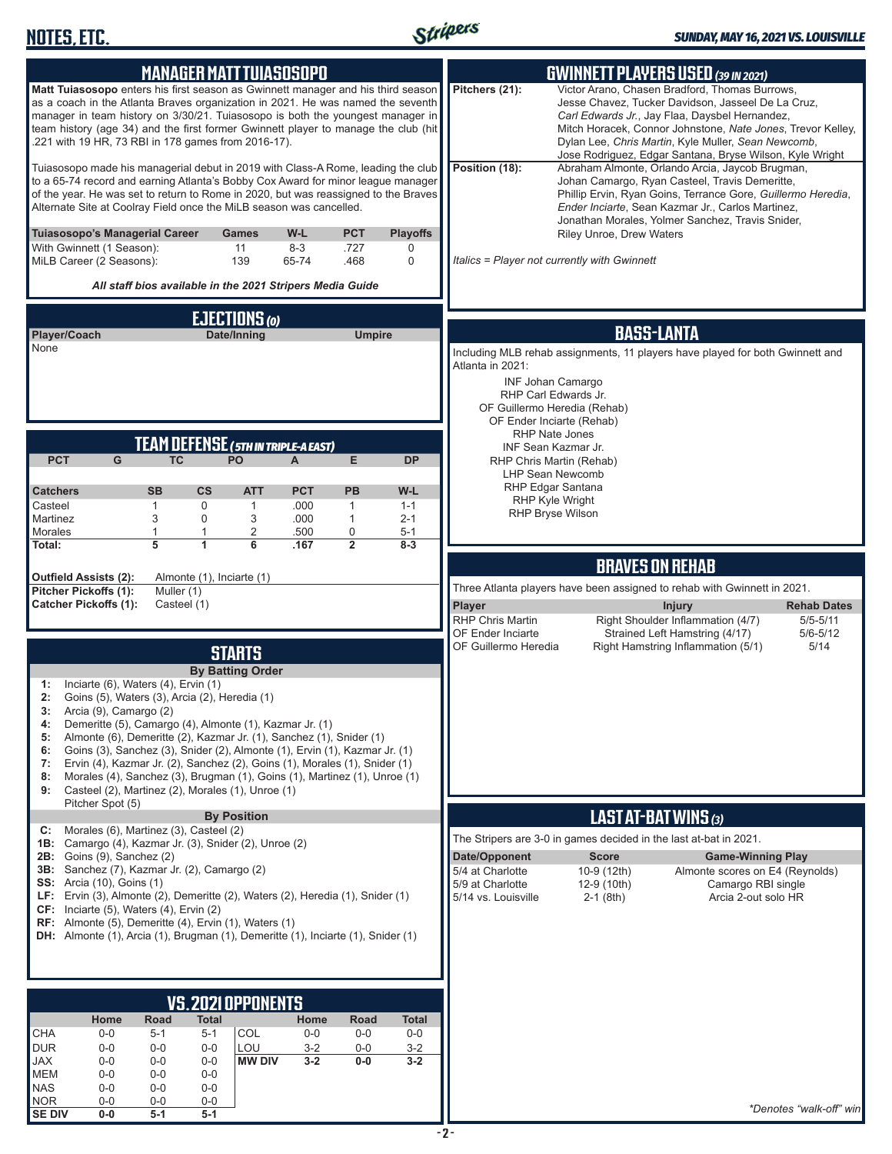

| <b>MANAGER MATT TUIASOSOPO</b>                                                                                                                                                                                                                                                                                                                                                                     | <b>GWINNETT PLAYERS USED (39 IN 2021)</b>                                                                                                                                                                                                                                                                                                                  |
|----------------------------------------------------------------------------------------------------------------------------------------------------------------------------------------------------------------------------------------------------------------------------------------------------------------------------------------------------------------------------------------------------|------------------------------------------------------------------------------------------------------------------------------------------------------------------------------------------------------------------------------------------------------------------------------------------------------------------------------------------------------------|
| Matt Tuiasosopo enters his first season as Gwinnett manager and his third season<br>as a coach in the Atlanta Braves organization in 2021. He was named the seventh<br>manager in team history on 3/30/21. Tuiasosopo is both the youngest manager in<br>team history (age 34) and the first former Gwinnett player to manage the club (hit<br>.221 with 19 HR, 73 RBI in 178 games from 2016-17). | Pitchers (21):<br>Victor Arano, Chasen Bradford, Thomas Burrows,<br>Jesse Chavez, Tucker Davidson, Jasseel De La Cruz,<br>Carl Edwards Jr., Jay Flaa, Daysbel Hernandez,<br>Mitch Horacek, Connor Johnstone, Nate Jones, Trevor Kelley,<br>Dylan Lee, Chris Martin, Kyle Muller, Sean Newcomb,<br>Jose Rodriguez, Edgar Santana, Bryse Wilson, Kyle Wright |
| Tuiasosopo made his managerial debut in 2019 with Class-A Rome, leading the club<br>to a 65-74 record and earning Atlanta's Bobby Cox Award for minor league manager<br>of the year. He was set to return to Rome in 2020, but was reassigned to the Braves<br>Alternate Site at Coolray Field once the MiLB season was cancelled.                                                                 | Position (18):<br>Abraham Almonte, Orlando Arcia, Jaycob Brugman,<br>Johan Camargo, Ryan Casteel, Travis Demeritte,<br>Phillip Ervin, Ryan Goins, Terrance Gore, Guillermo Heredia,<br>Ender Inciarte, Sean Kazmar Jr., Carlos Martinez,<br>Jonathan Morales, Yolmer Sanchez, Travis Snider,                                                               |
| Tuiasosopo's Managerial Career<br>W-L<br><b>PCT</b><br><b>Playoffs</b><br>Games<br>With Gwinnett (1 Season):<br>11<br>$8 - 3$<br>.727<br>0<br>MiLB Career (2 Seasons):<br>139<br>65-74<br>.468<br>0                                                                                                                                                                                                | Riley Unroe, Drew Waters<br>Italics = Player not currently with Gwinnett                                                                                                                                                                                                                                                                                   |
| All staff bios available in the 2021 Stripers Media Guide                                                                                                                                                                                                                                                                                                                                          |                                                                                                                                                                                                                                                                                                                                                            |
| EJECTIONS (0)                                                                                                                                                                                                                                                                                                                                                                                      |                                                                                                                                                                                                                                                                                                                                                            |
| Player/Coach<br>Date/Inning<br><b>Umpire</b><br>None                                                                                                                                                                                                                                                                                                                                               | <b>BASS-LANTA</b>                                                                                                                                                                                                                                                                                                                                          |
|                                                                                                                                                                                                                                                                                                                                                                                                    | Including MLB rehab assignments, 11 players have played for both Gwinnett and<br>Atlanta in 2021:                                                                                                                                                                                                                                                          |
|                                                                                                                                                                                                                                                                                                                                                                                                    | <b>INF Johan Camargo</b>                                                                                                                                                                                                                                                                                                                                   |
|                                                                                                                                                                                                                                                                                                                                                                                                    | RHP Carl Edwards Jr.<br>OF Guillermo Heredia (Rehab)                                                                                                                                                                                                                                                                                                       |
|                                                                                                                                                                                                                                                                                                                                                                                                    | OF Ender Inciarte (Rehab)<br><b>RHP Nate Jones</b>                                                                                                                                                                                                                                                                                                         |
| TEAM DEFENSE (5TH IN TRIPLE-A EAST)<br><b>TC</b><br>PO<br><b>PCT</b><br>G<br>Е<br><b>DP</b><br>A                                                                                                                                                                                                                                                                                                   | INF Sean Kazmar Jr.<br>RHP Chris Martin (Rehab)                                                                                                                                                                                                                                                                                                            |
|                                                                                                                                                                                                                                                                                                                                                                                                    | <b>LHP Sean Newcomb</b>                                                                                                                                                                                                                                                                                                                                    |
| <b>PCT</b><br>W-L<br><b>Catchers</b><br><b>SB</b><br>$\mathsf{cs}$<br><b>ATT</b><br><b>PB</b><br>Casteel<br>0<br>.000<br>$\mathbf{1}$<br>$\mathbf{1}$<br>$\mathbf{1}$<br>$1 - 1$                                                                                                                                                                                                                   | RHP Edgar Santana<br><b>RHP Kyle Wright</b>                                                                                                                                                                                                                                                                                                                |
| Martinez<br>3<br>0<br>3<br>$\mathbf{1}$<br>.000<br>$2 - 1$                                                                                                                                                                                                                                                                                                                                         | RHP Bryse Wilson                                                                                                                                                                                                                                                                                                                                           |
| Morales<br>2<br>.500<br>0<br>1<br>$5 - 1$<br>1<br>$\overline{5}$<br>$\overline{2}$<br>1<br>6<br>Total:<br>.167<br>$8 - 3$                                                                                                                                                                                                                                                                          |                                                                                                                                                                                                                                                                                                                                                            |
|                                                                                                                                                                                                                                                                                                                                                                                                    | <b>BRAVES ON REHAB</b>                                                                                                                                                                                                                                                                                                                                     |
| Almonte (1), Inciarte (1)<br><b>Outfield Assists (2):</b><br>Pitcher Pickoffs (1):<br>Muller (1)                                                                                                                                                                                                                                                                                                   | Three Atlanta players have been assigned to rehab with Gwinnett in 2021.                                                                                                                                                                                                                                                                                   |
| <b>Catcher Pickoffs (1):</b><br>Casteel (1)                                                                                                                                                                                                                                                                                                                                                        | Player<br><b>Injury</b><br><b>Rehab Dates</b><br><b>RHP Chris Martin</b><br>Right Shoulder Inflammation (4/7)<br>$5/5 - 5/11$                                                                                                                                                                                                                              |
|                                                                                                                                                                                                                                                                                                                                                                                                    | OF Ender Inciarte<br>Strained Left Hamstring (4/17)<br>$5/6 - 5/12$                                                                                                                                                                                                                                                                                        |
| <b>STARTS</b>                                                                                                                                                                                                                                                                                                                                                                                      | Right Hamstring Inflammation (5/1)<br>5/14<br>OF Guillermo Heredia                                                                                                                                                                                                                                                                                         |
| <b>By Batting Order</b><br>Inciarte $(6)$ , Waters $(4)$ , Ervin $(1)$<br>1:                                                                                                                                                                                                                                                                                                                       |                                                                                                                                                                                                                                                                                                                                                            |
| Goins (5), Waters (3), Arcia (2), Heredia (1)<br>2:<br>3:<br>Arcia (9), Camargo (2)                                                                                                                                                                                                                                                                                                                |                                                                                                                                                                                                                                                                                                                                                            |
| Demeritte (5), Camargo (4), Almonte (1), Kazmar Jr. (1)<br>4:                                                                                                                                                                                                                                                                                                                                      |                                                                                                                                                                                                                                                                                                                                                            |
| Almonte (6), Demeritte (2), Kazmar Jr. (1), Sanchez (1), Snider (1)<br>5:<br>Goins (3), Sanchez (3), Snider (2), Almonte (1), Ervin (1), Kazmar Jr. (1)<br>6:                                                                                                                                                                                                                                      |                                                                                                                                                                                                                                                                                                                                                            |
| Ervin (4), Kazmar Jr. (2), Sanchez (2), Goins (1), Morales (1), Snider (1)<br>7:<br>Morales (4), Sanchez (3), Brugman (1), Goins (1), Martinez (1), Unroe (1)<br>8:                                                                                                                                                                                                                                |                                                                                                                                                                                                                                                                                                                                                            |
| Casteel (2), Martinez (2), Morales (1), Unroe (1)<br>9:                                                                                                                                                                                                                                                                                                                                            |                                                                                                                                                                                                                                                                                                                                                            |
| Pitcher Spot (5)<br><b>By Position</b>                                                                                                                                                                                                                                                                                                                                                             | LAST AT-BAT WINS (3)                                                                                                                                                                                                                                                                                                                                       |
| Morales (6), Martinez (3), Casteel (2)<br>C:<br><b>1B:</b> Camargo (4), Kazmar Jr. (3), Snider (2), Unroe (2)                                                                                                                                                                                                                                                                                      | The Stripers are 3-0 in games decided in the last at-bat in 2021.                                                                                                                                                                                                                                                                                          |
| <b>2B:</b> Goins (9), Sanchez (2)<br>3B: Sanchez (7), Kazmar Jr. (2), Camargo (2)                                                                                                                                                                                                                                                                                                                  | Date/Opponent<br><b>Score</b><br><b>Game-Winning Play</b>                                                                                                                                                                                                                                                                                                  |
| <b>SS:</b> Arcia (10), Goins (1)                                                                                                                                                                                                                                                                                                                                                                   | 5/4 at Charlotte<br>10-9 (12th)<br>Almonte scores on E4 (Reynolds)<br>5/9 at Charlotte<br>12-9 (10th)<br>Camargo RBI single                                                                                                                                                                                                                                |
| LF: Ervin (3), Almonte (2), Demeritte (2), Waters (2), Heredia (1), Snider (1)<br>$CF:$ Inciarte (5), Waters (4), Ervin (2)                                                                                                                                                                                                                                                                        | Arcia 2-out solo HR<br>5/14 vs. Louisville<br>$2-1$ (8th)                                                                                                                                                                                                                                                                                                  |
| RF: Almonte (5), Demeritte (4), Ervin (1), Waters (1)<br>DH: Almonte (1), Arcia (1), Brugman (1), Demeritte (1), Inciarte (1), Snider (1)                                                                                                                                                                                                                                                          |                                                                                                                                                                                                                                                                                                                                                            |
|                                                                                                                                                                                                                                                                                                                                                                                                    |                                                                                                                                                                                                                                                                                                                                                            |
|                                                                                                                                                                                                                                                                                                                                                                                                    |                                                                                                                                                                                                                                                                                                                                                            |
| VS.2021 OPPONENTS                                                                                                                                                                                                                                                                                                                                                                                  |                                                                                                                                                                                                                                                                                                                                                            |
| Road<br><b>Total</b><br>Home<br>Home<br>Road<br>Total                                                                                                                                                                                                                                                                                                                                              |                                                                                                                                                                                                                                                                                                                                                            |
| <b>CHA</b><br>COL<br>$0-0$<br>$5 - 1$<br>$0-0$<br>$0-0$<br>$0-0$<br>5-1                                                                                                                                                                                                                                                                                                                            |                                                                                                                                                                                                                                                                                                                                                            |
|                                                                                                                                                                                                                                                                                                                                                                                                    |                                                                                                                                                                                                                                                                                                                                                            |
| <b>DUR</b><br>LOU<br>$0-0$<br>$0-0$<br>$0-0$<br>$3 - 2$<br>$0-0$<br>$3 - 2$<br>$0-0$<br><b>MW DIV</b><br>$3 - 2$<br>$0-0$<br>$3 - 2$<br>JAX<br>$0 - 0$<br>$0-0$                                                                                                                                                                                                                                    |                                                                                                                                                                                                                                                                                                                                                            |
| <b>MEM</b><br>$0-0$<br>$0-0$<br>$0-0$<br><b>NAS</b><br>$0-0$<br>$0-0$<br>$0-0$<br><b>NOR</b>                                                                                                                                                                                                                                                                                                       |                                                                                                                                                                                                                                                                                                                                                            |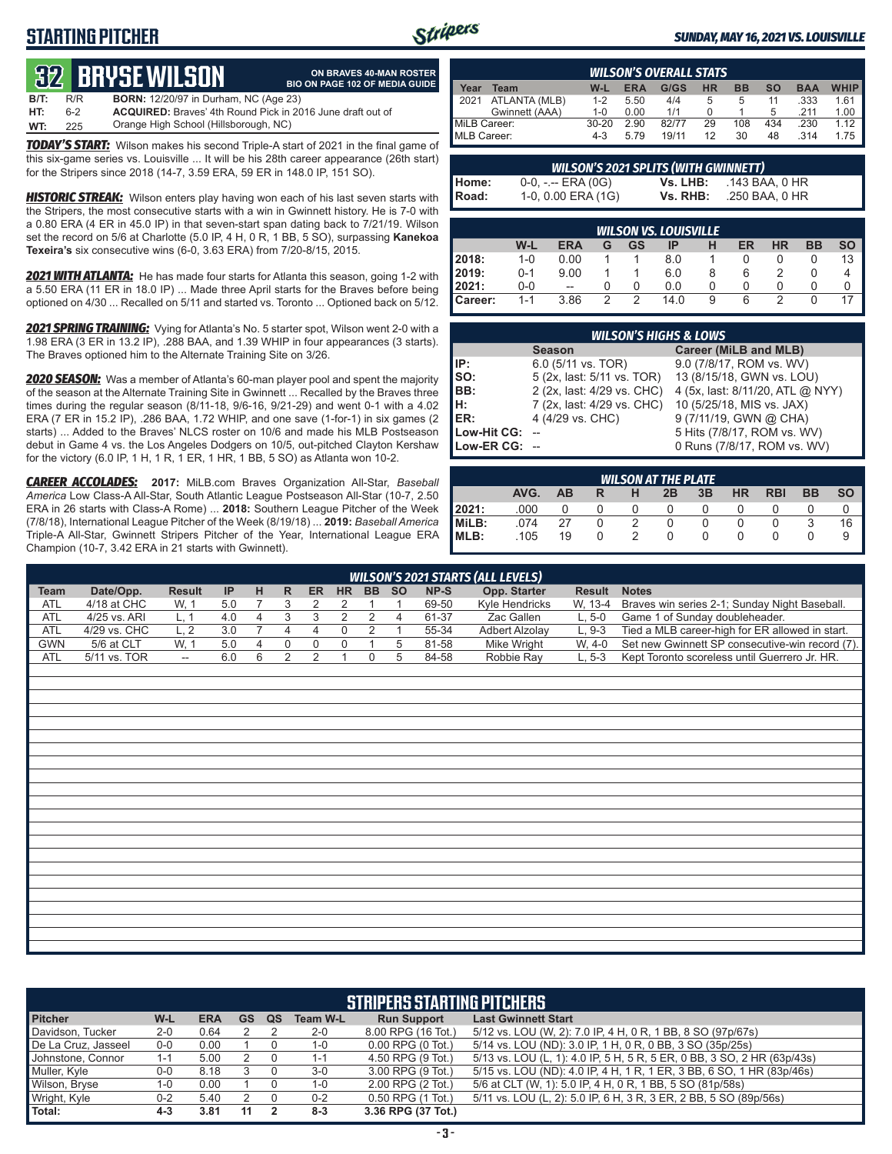# **STARTING PITCHER**



#### *SUNDAY, MAY 16, 2021 VS. LOUISVILLE*

# **32****BRYSE WILSON**

|      |     | <b>82 BRYSE WILSON</b>                                            | ON BRAVES 40-MAN ROSTER<br><b>BIO ON PAGE 102 OF MEDIA GUIDE</b> |
|------|-----|-------------------------------------------------------------------|------------------------------------------------------------------|
| B/T: | R/R | <b>BORN:</b> 12/20/97 in Durham, NC (Age 23)                      |                                                                  |
| HT:  | հ-2 | <b>ACQUIRED:</b> Braves' 4th Round Pick in 2016 June draft out of |                                                                  |
| WT:  | 225 | Orange High School (Hillsborough, NC)                             |                                                                  |

*TODAY'S START:* Wilson makes his second Triple-A start of 2021 in the final game of this six-game series vs. Louisville ... It will be his 28th career appearance (26th start) for the Stripers since 2018 (14-7, 3.59 ERA, 59 ER in 148.0 IP, 151 SO).

*HISTORIC STREAK:* Wilson enters play having won each of his last seven starts with the Stripers, the most consecutive starts with a win in Gwinnett history. He is 7-0 with a 0.80 ERA (4 ER in 45.0 IP) in that seven-start span dating back to 7/21/19. Wilson set the record on 5/6 at Charlotte (5.0 IP, 4 H, 0 R, 1 BB, 5 SO), surpassing **Kanekoa Texeira's** six consecutive wins (6-0, 3.63 ERA) from 7/20-8/15, 2015.

*2021 WITH ATLANTA:* He has made four starts for Atlanta this season, going 1-2 with a 5.50 ERA (11 ER in 18.0 IP) ... Made three April starts for the Braves before being optioned on 4/30 ... Recalled on 5/11 and started vs. Toronto ... Optioned back on 5/12.

*2021 SPRING TRAINING:* Vying for Atlanta's No. 5 starter spot, Wilson went 2-0 with a 1.98 ERA (3 ER in 13.2 IP), .288 BAA, and 1.39 WHIP in four appearances (3 starts). The Braves optioned him to the Alternate Training Site on 3/26.

*2020 SEASON:* Was a member of Atlanta's 60-man player pool and spent the majority of the season at the Alternate Training Site in Gwinnett ... Recalled by the Braves three times during the regular season (8/11-18, 9/6-16, 9/21-29) and went 0-1 with a 4.02 ERA (7 ER in 15.2 IP), .286 BAA, 1.72 WHIP, and one save (1-for-1) in six games (2 starts) ... Added to the Braves' NLCS roster on 10/6 and made his MLB Postseason debut in Game 4 vs. the Los Angeles Dodgers on 10/5, out-pitched Clayton Kershaw for the victory (6.0 IP, 1 H, 1 R, 1 ER, 1 HR, 1 BB, 5 SO) as Atlanta won 10-2.

*CAREER ACCOLADES:* **2017:** MiLB.com Braves Organization All-Star, *Baseball America* Low Class-A All-Star, South Atlantic League Postseason All-Star (10-7, 2.50 ERA in 26 starts with Class-A Rome) ... **2018:** Southern League Pitcher of the Week (7/8/18), International League Pitcher of the Week (8/19/18) ... **2019:** *Baseball America*  Triple-A All-Star, Gwinnett Stripers Pitcher of the Year, International League ERA Champion (10-7, 3.42 ERA in 21 starts with Gwinnett).

| <b>WILSON'S OVERALL STATS</b> |                                                                                           |           |      |       |    |     |     |      |      |  |  |  |
|-------------------------------|-------------------------------------------------------------------------------------------|-----------|------|-------|----|-----|-----|------|------|--|--|--|
| Year                          | <b>WHIP</b><br>G/GS<br>$W-L$<br>НR<br><b>BB</b><br><b>ERA</b><br>SΟ<br><b>BAA</b><br>Team |           |      |       |    |     |     |      |      |  |  |  |
| 12021                         | ATLANTA (MLB)                                                                             | $1 - 2$   | 5.50 | 4/4   |    | 5   | 11  | .333 | 1.61 |  |  |  |
|                               | Gwinnett (AAA)                                                                            | $1 - 0$   | 0.00 | 1/1   |    |     | 5   | .211 | 1.00 |  |  |  |
| MiLB Career:                  |                                                                                           | $30 - 20$ | 2.90 | 82/77 | 29 | 108 | 434 | .230 | 1.12 |  |  |  |
| MLB Career:                   |                                                                                           | 4-3       | 5.79 | 19/11 | 12 | 30  | 48  | .314 | 1.75 |  |  |  |

| <b>WILSON'S 2021 SPLITS (WITH GWINNETT)</b> |                       |          |                |  |  |  |  |  |  |  |  |
|---------------------------------------------|-----------------------|----------|----------------|--|--|--|--|--|--|--|--|
|                                             | $0-0, - -$ ERA $(0G)$ | Vs. LHB: | .143 BAA, 0 HR |  |  |  |  |  |  |  |  |
| Home:<br>Road:                              | 1-0, 0.00 ERA (1G)    | Vs. RHB: | .250 BAA, 0 HR |  |  |  |  |  |  |  |  |

| <b>WILSON VS. LOUISVILLE</b> |         |            |   |    |      |   |    |    |           |           |  |
|------------------------------|---------|------------|---|----|------|---|----|----|-----------|-----------|--|
|                              | W-L     | <b>ERA</b> | G | GS | IP   | н | ER | HR | <b>BB</b> | <b>SO</b> |  |
| 2018:                        | $1 - 0$ | 0.00       |   |    | 8.0  |   |    |    |           | 13        |  |
| 12019:                       | $0 - 1$ | 9.00       |   |    | 6.0  | 8 | 6  |    | $\cup$    | 4         |  |
| 12021:                       | $0-0$   | $- -$      |   | 0  | 0.0  | 0 | O  | 0  |           |           |  |
| Career:                      | $1 - 1$ | 3.86       | っ | っ  | 14.0 | 9 | 6  |    |           |           |  |

|               | <b>WILSON'S HIGHS &amp; LOWS</b> |                                  |  |  |  |  |  |  |  |  |  |  |
|---------------|----------------------------------|----------------------------------|--|--|--|--|--|--|--|--|--|--|
|               | <b>Season</b>                    | <b>Career (MiLB and MLB)</b>     |  |  |  |  |  |  |  |  |  |  |
| IP:           | 6.0 (5/11 vs. TOR)               | 9.0 (7/8/17, ROM vs. WV)         |  |  |  |  |  |  |  |  |  |  |
| $\vert$ so:   | 5 (2x, last: 5/11 vs. TOR)       | 13 (8/15/18, GWN vs. LOU)        |  |  |  |  |  |  |  |  |  |  |
| BB:           | 2 (2x, last: 4/29 vs. CHC)       | 4 (5x, last: 8/11/20, ATL @ NYY) |  |  |  |  |  |  |  |  |  |  |
| Iн:           | 7 (2x, last: 4/29 vs. CHC)       | 10 (5/25/18, MIS vs. JAX)        |  |  |  |  |  |  |  |  |  |  |
| ER:           | 4 (4/29 vs. CHC)                 | 9 (7/11/19, GWN @ CHA)           |  |  |  |  |  |  |  |  |  |  |
| Low-Hit CG:   |                                  | 5 Hits (7/8/17, ROM vs. WV)      |  |  |  |  |  |  |  |  |  |  |
| Low-ER CG: -- |                                  | 0 Runs (7/8/17, ROM vs. WV)      |  |  |  |  |  |  |  |  |  |  |

| <b>WILSON AT THE PLATE</b> |                                                                                              |    |  |  |   |   |        |  |  |    |  |  |  |
|----------------------------|----------------------------------------------------------------------------------------------|----|--|--|---|---|--------|--|--|----|--|--|--|
|                            | <b>HR</b><br>AVG.<br>3B<br><b>SO</b><br><b>RBI</b><br><b>BB</b><br><b>AB</b><br>2B<br>н<br>R |    |  |  |   |   |        |  |  |    |  |  |  |
| 2021:                      | .000                                                                                         |    |  |  |   |   |        |  |  |    |  |  |  |
| MiLB:                      | 074                                                                                          | 27 |  |  |   | 0 |        |  |  | 16 |  |  |  |
| MLB:                       | .105                                                                                         | 19 |  |  | 0 | 0 | $\cup$ |  |  | 9  |  |  |  |

|            | <b>WILSON'S 2021 STARTS (ALL LEVELS)</b> |                          |           |  |   |           |           |           |           |       |                |               |                                                 |
|------------|------------------------------------------|--------------------------|-----------|--|---|-----------|-----------|-----------|-----------|-------|----------------|---------------|-------------------------------------------------|
| Team       | Date/Opp.                                | <b>Result</b>            | <b>IP</b> |  | R | <b>ER</b> | <b>HR</b> | <b>BB</b> | <b>SO</b> | NP-S  | Opp. Starter   | <b>Result</b> | <b>Notes</b>                                    |
| <b>ATL</b> | 4/18 at CHC                              | W. 1                     | 5.0       |  |   |           |           |           |           | 69-50 | Kyle Hendricks | W. 13-4       | Braves win series 2-1; Sunday Night Baseball.   |
| ATL        | 4/25 vs. ARI                             |                          | 4.0       |  |   |           |           |           |           | 61-37 | Zac Gallen     | $L.5-0$       | Game 1 of Sunday doubleheader.                  |
| ATL        | 4/29 vs. CHC                             | L. 2                     | 3.0       |  |   |           |           |           |           | 55-34 | Adbert Alzolay | $L.9-3$       | Tied a MLB career-high for ER allowed in start. |
| <b>GWN</b> | 5/6 at CLT                               | W. 1                     | 5.0       |  |   |           |           |           |           | 81-58 | Mike Wright    | $W. 4-0$      | Set new Gwinnett SP consecutive-win record (7). |
| <b>ATL</b> | 5/11 vs. TOR                             | $\overline{\phantom{a}}$ | 6.0       |  |   |           |           |           |           | 84-58 | Robbie Ray     | $L.5-3$       | Kept Toronto scoreless until Guerrero Jr. HR.   |

| <b>STRIPERS STARTING PITCHERS</b> |         |            |    |    |                 |                       |                                                                         |  |  |  |
|-----------------------------------|---------|------------|----|----|-----------------|-----------------------|-------------------------------------------------------------------------|--|--|--|
| <b>Pitcher</b>                    | W-L     | <b>ERA</b> | GS | QS | <b>Team W-L</b> | <b>Run Support</b>    | <b>Last Gwinnett Start</b>                                              |  |  |  |
| Davidson, Tucker                  | $2 - 0$ | 0.64       |    |    | $2 - 0$         | 8.00 RPG (16 Tot.)    | 5/12 vs. LOU (W, 2): 7.0 IP, 4 H, 0 R, 1 BB, 8 SO (97p/67s)             |  |  |  |
| De La Cruz, Jasseel               | 0-0     | 0.00       |    |    | $1 - 0$         | $0.00$ RPG $(0$ Tot.) | 5/14 vs. LOU (ND): 3.0 IP, 1 H, 0 R, 0 BB, 3 SO (35p/25s)               |  |  |  |
| Johnstone, Connor                 | $1 - 1$ | 5.00       |    |    | $1 - 1$         | 4.50 RPG (9 Tot.)     | 5/13 vs. LOU (L, 1): 4.0 IP, 5 H, 5 R, 5 ER, 0 BB, 3 SO, 2 HR (63p/43s) |  |  |  |
| Muller, Kyle                      | $0-0$   | 8.18       |    |    | $3-0$           | 3.00 RPG (9 Tot.)     | 5/15 vs. LOU (ND): 4.0 IP, 4 H, 1 R, 1 ER, 3 BB, 6 SO, 1 HR (83p/46s)   |  |  |  |
| Wilson, Bryse                     | 1-0     | 0.00       |    |    | $1 - 0$         | 2.00 RPG (2 Tot.)     | 5/6 at CLT (W, 1): 5.0 IP, 4 H, 0 R, 1 BB, 5 SO (81p/58s)               |  |  |  |
| Wright, Kyle                      | $0 - 2$ | 5.40       |    |    | $0 - 2$         | 0.50 RPG (1 Tot.)     | 5/11 vs. LOU (L, 2): 5.0 IP, 6 H, 3 R, 3 ER, 2 BB, 5 SO (89p/56s)       |  |  |  |
| Total:                            | $4 - 3$ | 3.81       | 11 |    | $8 - 3$         | 3.36 RPG (37 Tot.)    |                                                                         |  |  |  |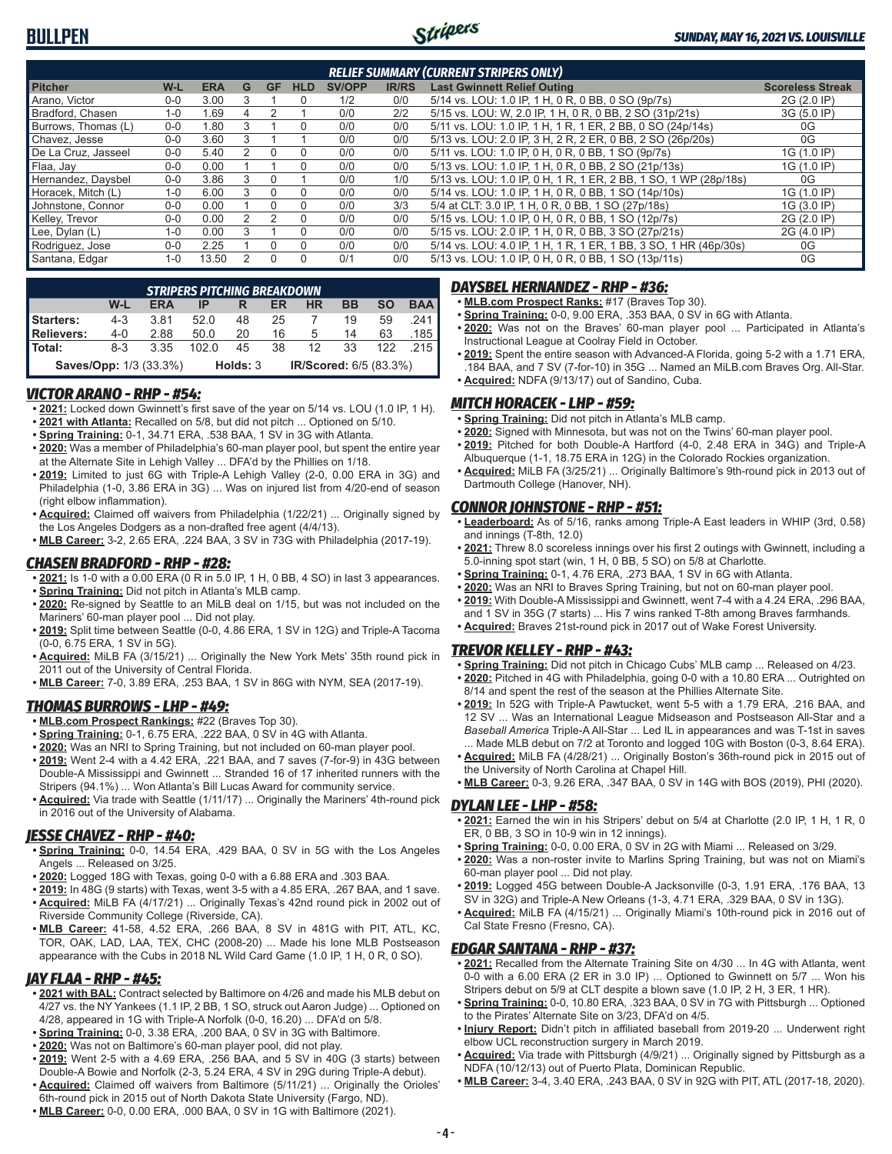

| <b>RELIEF SUMMARY (CURRENT STRIPERS ONLY)</b> |         |            |   |          |          |               |              |                                                                  |                         |  |  |
|-----------------------------------------------|---------|------------|---|----------|----------|---------------|--------------|------------------------------------------------------------------|-------------------------|--|--|
| <b>Pitcher</b>                                | W-L     | <b>ERA</b> | G | GF       | HLD      | <b>SV/OPP</b> | <b>IR/RS</b> | <b>Last Gwinnett Relief Outing</b>                               | <b>Scoreless Streak</b> |  |  |
| Arano, Victor                                 | $0 - 0$ | 3.00       |   |          | $\Omega$ | 1/2           | 0/0          | 5/14 vs. LOU: 1.0 IP, 1 H, 0 R, 0 BB, 0 SO (9p/7s)               | 2G (2.0 IP)             |  |  |
| Bradford, Chasen                              | $1 - 0$ | 1.69       | Д |          |          | 0/0           | 2/2          | 5/15 vs. LOU: W, 2.0 IP, 1 H, 0 R, 0 BB, 2 SO (31p/21s)          | 3G (5.0 IP)             |  |  |
| Burrows, Thomas (L)                           | $0 - 0$ | .80        |   |          | $\Omega$ | 0/0           | 0/0          | 5/11 vs. LOU: 1.0 IP, 1 H, 1 R, 1 ER, 2 BB, 0 SO (24p/14s)       | 0G                      |  |  |
| Chavez. Jesse                                 | $0 - 0$ | 3.60       |   |          |          | 0/0           | 0/0          | 5/13 vs. LOU: 2.0 IP, 3 H, 2 R, 2 ER, 0 BB, 2 SO (26p/20s)       | 0G                      |  |  |
| De La Cruz, Jasseel                           | $0 - 0$ | 5.40       |   |          | 0        | 0/0           | 0/0          | 5/11 vs. LOU: 1.0 IP, 0 H, 0 R, 0 BB, 1 SO (9p/7s)               | 1G (1.0 IP)             |  |  |
| Flaa, Jay                                     | $0 - 0$ | 0.00       |   |          | $\Omega$ | 0/0           | 0/0          | 5/13 vs. LOU: 1.0 IP, 1 H, 0 R, 0 BB, 2 SO (21p/13s)             | 1G (1.0 IP)             |  |  |
| Hernandez, Daysbel                            | $0-0$   | 3.86       | 3 |          |          | 0/0           | 1/0          | 5/13 vs. LOU: 1.0 IP, 0 H, 1 R, 1 ER, 2 BB, 1 SO, 1 WP (28p/18s) | 0G                      |  |  |
| Horacek. Mitch (L)                            | $1 - 0$ | 6.00       | ٩ |          | 0        | 0/0           | 0/0          | 5/14 vs. LOU: 1.0 IP, 1 H, 0 R, 0 BB, 1 SO (14p/10s)             | 1G (1.0 IP)             |  |  |
| Johnstone, Connor                             | $0 - 0$ | 0.00       |   |          | $\Omega$ | 0/0           | 3/3          | 5/4 at CLT: 3.0 IP, 1 H, 0 R, 0 BB, 1 SO (27p/18s)               | 1G (3.0 IP)             |  |  |
| Kelley, Trevor                                | $0 - 0$ | 0.00       |   |          | $\Omega$ | 0/0           | 0/0          | 5/15 vs. LOU: 1.0 IP, 0 H, 0 R, 0 BB, 1 SO (12p/7s)              | 2G (2.0 IP)             |  |  |
| Lee, Dylan (L)                                | $1 - 0$ | 0.00       |   |          | $\Omega$ | 0/0           | 0/0          | 5/15 vs. LOU: 2.0 IP, 1 H, 0 R, 0 BB, 3 SO (27p/21s)             | 2G (4.0 IP)             |  |  |
| Rodriguez, Jose                               | $0 - 0$ | 2.25       |   |          | $\Omega$ | 0/0           | 0/0          | 5/14 vs. LOU: 4.0 IP, 1 H, 1 R, 1 ER, 1 BB, 3 SO, 1 HR (46p/30s) | 0G                      |  |  |
| Santana, Edgar                                | $1 - 0$ | 13.50      |   | $\Omega$ | $\Omega$ | 0/1           | 0/0          | 5/13 vs. LOU: 1.0 IP, 0 H, 0 R, 0 BB, 1 SO (13p/11s)             | 0G                      |  |  |

| <b>STRIPERS PITCHING BREAKDOWN</b>                                  |         |            |         |    |    |    |           |     |            |  |  |
|---------------------------------------------------------------------|---------|------------|---------|----|----|----|-----------|-----|------------|--|--|
|                                                                     | W-L     | <b>ERA</b> | IP      |    | ER | ΗR | <b>BB</b> | SΟ  | <b>BAA</b> |  |  |
| Starters:                                                           | $4 - 3$ | 3.81       | 52.0    | 48 | 25 |    | 19        | 59  | 241        |  |  |
| <b>Relievers:</b>                                                   | $4 - 0$ | 2.88       | 50.0    | 20 | 16 | 5  | 14        | 63  | .185       |  |  |
| Total:                                                              | $8-3$   | 3.35       | 102 $0$ | 45 | 38 | 12 | 33        | 122 | 215        |  |  |
| IR/Scored: 6/5 (83.3%)<br><b>Saves/Opp: 1/3 (33.3%)</b><br>Holds: 3 |         |            |         |    |    |    |           |     |            |  |  |

### *VICTOR ARANO - RHP - #54:*

- **• 2021:** Locked down Gwinnett's first save of the year on 5/14 vs. LOU (1.0 IP, 1 H). **• 2021 with Atlanta:** Recalled on 5/8, but did not pitch ... Optioned on 5/10.
- **• Spring Training:** 0-1, 34.71 ERA, .538 BAA, 1 SV in 3G with Atlanta.
- **• 2020:** Was a member of Philadelphia's 60-man player pool, but spent the entire year at the Alternate Site in Lehigh Valley ... DFA'd by the Phillies on 1/18.
- **• 2019:** Limited to just 6G with Triple-A Lehigh Valley (2-0, 0.00 ERA in 3G) and Philadelphia (1-0, 3.86 ERA in 3G) ... Was on injured list from 4/20-end of season (right elbow inflammation).
- **• Acquired:** Claimed off waivers from Philadelphia (1/22/21) ... Originally signed by the Los Angeles Dodgers as a non-drafted free agent (4/4/13).
- **• MLB Career:** 3-2, 2.65 ERA, .224 BAA, 3 SV in 73G with Philadelphia (2017-19).

## *CHASEN BRADFORD - RHP - #28:*

- **• 2021:** Is 1-0 with a 0.00 ERA (0 R in 5.0 IP, 1 H, 0 BB, 4 SO) in last 3 appearances.
- **• Spring Training:** Did not pitch in Atlanta's MLB camp.
- **• 2020:** Re-signed by Seattle to an MiLB deal on 1/15, but was not included on the Mariners' 60-man player pool ... Did not play.
- **• 2019:** Split time between Seattle (0-0, 4.86 ERA, 1 SV in 12G) and Triple-A Tacoma (0-0, 6.75 ERA, 1 SV in 5G).
- **• Acquired:** MiLB FA (3/15/21) ... Originally the New York Mets' 35th round pick in 2011 out of the University of Central Florida.
- **• MLB Career:** 7-0, 3.89 ERA, .253 BAA, 1 SV in 86G with NYM, SEA (2017-19).

## *THOMAS BURROWS - LHP - #49:*

- **• MLB.com Prospect Rankings:** #22 (Braves Top 30).
- **• Spring Training:** 0-1, 6.75 ERA, .222 BAA, 0 SV in 4G with Atlanta.
- **• 2020:** Was an NRI to Spring Training, but not included on 60-man player pool.
- **• 2019:** Went 2-4 with a 4.42 ERA, .221 BAA, and 7 saves (7-for-9) in 43G between Double-A Mississippi and Gwinnett ... Stranded 16 of 17 inherited runners with the Stripers (94.1%) ... Won Atlanta's Bill Lucas Award for community service.
- **• Acquired:** Via trade with Seattle (1/11/17) ... Originally the Mariners' 4th-round pick in 2016 out of the University of Alabama.

## *JESSE CHAVEZ - RHP - #40:*

- **• Spring Training:** 0-0, 14.54 ERA, .429 BAA, 0 SV in 5G with the Los Angeles Angels ... Released on 3/25.
- **• 2020:** Logged 18G with Texas, going 0-0 with a 6.88 ERA and .303 BAA.
- **• 2019:** In 48G (9 starts) with Texas, went 3-5 with a 4.85 ERA, .267 BAA, and 1 save.
- **• Acquired:** MiLB FA (4/17/21) ... Originally Texas's 42nd round pick in 2002 out of Riverside Community College (Riverside, CA).
- **• MLB Career:** 41-58, 4.52 ERA, .266 BAA, 8 SV in 481G with PIT, ATL, KC, TOR, OAK, LAD, LAA, TEX, CHC (2008-20) ... Made his lone MLB Postseason appearance with the Cubs in 2018 NL Wild Card Game (1.0 IP, 1 H, 0 R, 0 SO).

## *JAY FLAA - RHP - #45:*

- **• 2021 with BAL:** Contract selected by Baltimore on 4/26 and made his MLB debut on 4/27 vs. the NY Yankees (1.1 IP, 2 BB, 1 SO, struck out Aaron Judge) ... Optioned on 4/28, appeared in 1G with Triple-A Norfolk (0-0, 16.20) ... DFA'd on 5/8.
- **• Spring Training:** 0-0, 3.38 ERA, .200 BAA, 0 SV in 3G with Baltimore.
- **• 2020:** Was not on Baltimore's 60-man player pool, did not play.
- **• 2019:** Went 2-5 with a 4.69 ERA, .256 BAA, and 5 SV in 40G (3 starts) between Double-A Bowie and Norfolk (2-3, 5.24 ERA, 4 SV in 29G during Triple-A debut).
- **• Acquired:** Claimed off waivers from Baltimore (5/11/21) ... Originally the Orioles' 6th-round pick in 2015 out of North Dakota State University (Fargo, ND).
- **• MLB Career:** 0-0, 0.00 ERA, .000 BAA, 0 SV in 1G with Baltimore (2021).

#### *DAYSBEL HERNANDEZ - RHP - #36:*

- **• MLB.com Prospect Ranks:** #17 (Braves Top 30).
- **• Spring Training:** 0-0, 9.00 ERA, .353 BAA, 0 SV in 6G with Atlanta.
- **• 2020:** Was not on the Braves' 60-man player pool ... Participated in Atlanta's Instructional League at Coolray Field in October.
- **• 2019:** Spent the entire season with Advanced-A Florida, going 5-2 with a 1.71 ERA, .184 BAA, and 7 SV (7-for-10) in 35G ... Named an MiLB.com Braves Org. All-Star. **• Acquired:** NDFA (9/13/17) out of Sandino, Cuba.

### *MITCH HORACEK - LHP - #59:*

- **• Spring Training:** Did not pitch in Atlanta's MLB camp.
- **• 2020:** Signed with Minnesota, but was not on the Twins' 60-man player pool.
- **• 2019:** Pitched for both Double-A Hartford (4-0, 2.48 ERA in 34G) and Triple-A
- Albuquerque (1-1, 18.75 ERA in 12G) in the Colorado Rockies organization. **• Acquired:** MiLB FA (3/25/21) ... Originally Baltimore's 9th-round pick in 2013 out of Dartmouth College (Hanover, NH).

### *CONNOR JOHNSTONE - RHP - #51:*

- **• Leaderboard:** As of 5/16, ranks among Triple-A East leaders in WHIP (3rd, 0.58) and innings (T-8th, 12.0)
- **• 2021:** Threw 8.0 scoreless innings over his first 2 outings with Gwinnett, including a 5.0-inning spot start (win, 1 H, 0 BB, 5 SO) on 5/8 at Charlotte.
- **• Spring Training:** 0-1, 4.76 ERA, .273 BAA, 1 SV in 6G with Atlanta.
- **• 2020:** Was an NRI to Braves Spring Training, but not on 60-man player pool. **• 2019:** With Double-A Mississippi and Gwinnett, went 7-4 with a 4.24 ERA, .296 BAA,
- and 1 SV in 35G (7 starts) ... His 7 wins ranked T-8th among Braves farmhands. **• Acquired:** Braves 21st-round pick in 2017 out of Wake Forest University.

#### *TREVOR KELLEY - RHP - #43:*

- **• Spring Training:** Did not pitch in Chicago Cubs' MLB camp ... Released on 4/23.
- **• 2020:** Pitched in 4G with Philadelphia, going 0-0 with a 10.80 ERA ... Outrighted on 8/14 and spent the rest of the season at the Phillies Alternate Site.
- **• 2019:** In 52G with Triple-A Pawtucket, went 5-5 with a 1.79 ERA, .216 BAA, and 12 SV ... Was an International League Midseason and Postseason All-Star and a *Baseball America* Triple-A All-Star ... Led IL in appearances and was T-1st in saves Made MLB debut on 7/2 at Toronto and logged 10G with Boston (0-3, 8.64 ERA).
- **• Acquired:** MiLB FA (4/28/21) ... Originally Boston's 36th-round pick in 2015 out of the University of North Carolina at Chapel Hill.
- **• MLB Career:** 0-3, 9.26 ERA, .347 BAA, 0 SV in 14G with BOS (2019), PHI (2020).

#### *DYLAN LEE - LHP - #58:*

- **• 2021:** Earned the win in his Stripers' debut on 5/4 at Charlotte (2.0 IP, 1 H, 1 R, 0 ER, 0 BB, 3 SO in 10-9 win in 12 innings).
- **• Spring Training:** 0-0, 0.00 ERA, 0 SV in 2G with Miami ... Released on 3/29.
- **• 2020:** Was a non-roster invite to Marlins Spring Training, but was not on Miami's 60-man player pool ... Did not play.
- **• 2019:** Logged 45G between Double-A Jacksonville (0-3, 1.91 ERA, .176 BAA, 13 SV in 32G) and Triple-A New Orleans (1-3, 4.71 ERA, .329 BAA, 0 SV in 13G).
- **• Acquired:** MiLB FA (4/15/21) ... Originally Miami's 10th-round pick in 2016 out of Cal State Fresno (Fresno, CA).

#### *EDGAR SANTANA - RHP - #37:*

- **• 2021:** Recalled from the Alternate Training Site on 4/30 ... In 4G with Atlanta, went 0-0 with a 6.00 ERA (2 ER in 3.0 IP) ... Optioned to Gwinnett on 5/7 ... Won his Stripers debut on 5/9 at CLT despite a blown save (1.0 IP, 2 H, 3 ER, 1 HR).
- **• Spring Training:** 0-0, 10.80 ERA, .323 BAA, 0 SV in 7G with Pittsburgh ... Optioned to the Pirates' Alternate Site on 3/23, DFA'd on 4/5.
- **• Injury Report:** Didn't pitch in affiliated baseball from 2019-20 ... Underwent right elbow UCL reconstruction surgery in March 2019.
- **• Acquired:** Via trade with Pittsburgh (4/9/21) ... Originally signed by Pittsburgh as a NDFA (10/12/13) out of Puerto Plata, Dominican Republic.
- **• MLB Career:** 3-4, 3.40 ERA, .243 BAA, 0 SV in 92G with PIT, ATL (2017-18, 2020).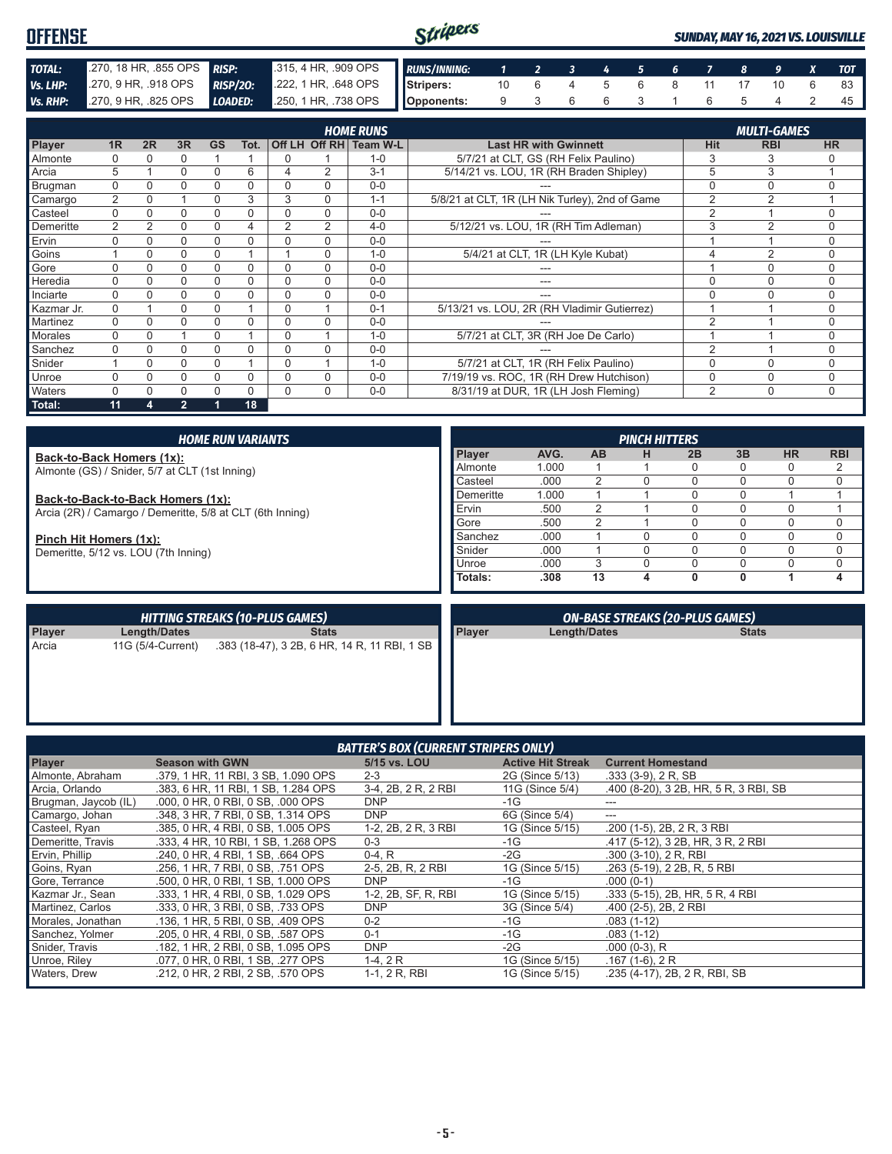| OFFENSE  |                                                                                       |  | Stripers |  |  |  |  |  | SUNDAY, MAY 16, 2021 VS. LOUISVILLE |
|----------|---------------------------------------------------------------------------------------|--|----------|--|--|--|--|--|-------------------------------------|
|          |                                                                                       |  |          |  |  |  |  |  |                                     |
| TOTAL:   | 270, 18 HR, .855 OPS RISP: 315, 4 HR, .909 OPS RUNS/INNING: 1 2 3 4 5 6 7 8 9 X TOT   |  |          |  |  |  |  |  |                                     |
| Vs. LHP: | 270, 9 HR, 918 OPS RISP/20: 222, 1 HR, 648 OPS Stripers: 10 6 4 5 6 8 11 17 10 6 83   |  |          |  |  |  |  |  |                                     |
|          | Vs. RHP: 270, 9 HR, 825 OPS LOADED: 250, 1 HR, 738 OPS Opponents: 9 3 6 6 3 1 6 5 4 2 |  |          |  |  |  |  |  |                                     |

|                 |                |          |                |           |      |   |          | <b>HOME RUNS</b>       |                                                |                | <b>MULTI-GAMES</b> |           |
|-----------------|----------------|----------|----------------|-----------|------|---|----------|------------------------|------------------------------------------------|----------------|--------------------|-----------|
| <b>Player</b>   | 1 <sub>R</sub> | 2R       | 3R             | <b>GS</b> | Tot. |   |          | Off LH Off RH Team W-L | <b>Last HR with Gwinnett</b>                   | <b>Hit</b>     | <b>RBI</b>         | <b>HR</b> |
| <b>Almonte</b>  |                |          | 0              |           |      | 0 |          | $1 - 0$                | 5/7/21 at CLT, GS (RH Felix Paulino)           | 3              | 3                  |           |
| Arcia           | 5              |          | 0              | 0         | 6    | 4 | 2        | $3 - 1$                | 5/14/21 vs. LOU, 1R (RH Braden Shipley)        | 5              | 3                  |           |
| Brugman         | 0              |          | 0              | 0         | 0    |   | $\Omega$ | $0-0$                  |                                                | $\Omega$       | 0                  |           |
| Camargo         | 2              | 0        |                | 0         | 3    | 3 | $\Omega$ | $1 - 1$                | 5/8/21 at CLT, 1R (LH Nik Turley), 2nd of Game | $\overline{2}$ | $\overline{2}$     |           |
| Casteel         | $\Omega$       |          | 0              | 0         | 0    |   | $\Omega$ | $0 - 0$                |                                                | $\overline{2}$ |                    | U         |
| Demeritte       | 2              | 2        | 0              | 0         | 4    | 2 | 2        | $4 - 0$                | 5/12/21 vs. LOU, 1R (RH Tim Adleman)           | 3              | $\overline{2}$     | $\Omega$  |
| Ervin           |                | 0        | 0              | 0         | 0    | O | $\Omega$ | $0 - 0$                |                                                |                |                    | 0         |
| Goins           |                |          | 0              | 0         |      |   | $\Omega$ | $1 - 0$                | 5/4/21 at CLT, 1R (LH Kyle Kubat)              |                | 2                  | 0         |
| Gore            |                |          | 0              | 0         | 0    | 0 | 0        | $0 - 0$                |                                                |                | $\Omega$           | U         |
| <b>Heredia</b>  | $\Omega$       |          | 0              | 0         | 0    | 0 | $\Omega$ | $0 - 0$                | ---                                            | $\Omega$       | $\Omega$           | $\Omega$  |
| Inciarte        |                |          | 0              | 0         | 0    | 0 | $\Omega$ | $0 - 0$                |                                                | 0              |                    | $\Omega$  |
| Kazmar Jr.      | $\Omega$       |          | 0              | 0         |      | 0 |          | $0 - 1$                | 5/13/21 vs. LOU, 2R (RH Vladimir Gutierrez)    |                |                    | $\Omega$  |
| <b>Martinez</b> |                |          | 0              | 0         | 0    |   | $\Omega$ | $0 - 0$                |                                                | $\overline{2}$ |                    | $\Omega$  |
| Morales         | $\Omega$       | 0        |                | 0         |      | 0 |          | $1 - 0$                | 5/7/21 at CLT, 3R (RH Joe De Carlo)            |                |                    | $\Omega$  |
| Sanchez         |                |          | 0              | 0         | 0    |   | $\Omega$ | $0 - 0$                |                                                | $\mathfrak{p}$ |                    | $\Omega$  |
| Snider          |                | $\Omega$ | 0              | 0         |      | 0 |          | $1 - 0$                | 5/7/21 at CLT, 1R (RH Felix Paulino)           | $\Omega$       | $\Omega$           | $\Omega$  |
| <b>Unroe</b>    |                | N        | 0              | 0         | 0    | 0 | $\Omega$ | $0 - 0$                | 7/19/19 vs. ROC, 1R (RH Drew Hutchison)        | $\Omega$       | $\Omega$           | $\Omega$  |
| <b>Waters</b>   |                |          | 0              | 0         | 0    | 0 | $\Omega$ | $0 - 0$                | 8/31/19 at DUR, 1R (LH Josh Fleming)           | 2              | $\Omega$           | $\Omega$  |
| Total:          | 11             | 4        | $\overline{2}$ |           | 18   |   |          |                        |                                                |                |                    |           |

| <b>HOME RUN VARIANTS</b>                                                                       |               |       |           | <b>PINCH HITTERS</b> |    |    |           |            |
|------------------------------------------------------------------------------------------------|---------------|-------|-----------|----------------------|----|----|-----------|------------|
| Back-to-Back Homers (1x):                                                                      | <b>Player</b> | AVG.  | <b>AB</b> | н                    | 2B | 3B | <b>HR</b> | <b>RBI</b> |
| Almonte (GS) / Snider, 5/7 at CLT (1st Inning)                                                 | Almonte       | 1.000 |           |                      |    |    |           | 2          |
|                                                                                                | Casteel       | .000  |           |                      |    |    |           |            |
| Back-to-Back-to-Back Homers (1x):<br>Arcia (2R) / Camargo / Demeritte, 5/8 at CLT (6th Inning) | Demeritte     | 1.000 |           |                      |    |    |           |            |
|                                                                                                | Ervin         | .500  |           |                      |    |    |           |            |
|                                                                                                | Gore          | .500  |           |                      |    |    |           |            |
| Pinch Hit Homers (1x):                                                                         | Sanchez       | .000  |           |                      |    |    |           |            |
| Demeritte, 5/12 vs. LOU (7th Inning)                                                           | Snider        | .000  |           |                      |    |    |           |            |
|                                                                                                | Unroe         | .000  |           |                      |    |    |           |            |
|                                                                                                | Totals:       | .308  | 13        |                      |    | 0  |           | 4          |

|        |              | <b>HITTING STREAKS (10-PLUS GAMES)</b>                         |               | <b>ON-BASE STREAKS (20-PLUS GAMES)</b> |              |
|--------|--------------|----------------------------------------------------------------|---------------|----------------------------------------|--------------|
| Player | Length/Dates | <b>Stats</b>                                                   | <b>Player</b> | Length/Dates                           | <b>Stats</b> |
| Arcia  |              | 11G (5/4-Current) .383 (18-47), 3 2B, 6 HR, 14 R, 11 RBI, 1 SB |               |                                        |              |

| <b>BATTER'S BOX (CURRENT STRIPERS ONLY)</b> |                                     |                     |                          |                                       |  |
|---------------------------------------------|-------------------------------------|---------------------|--------------------------|---------------------------------------|--|
| <b>Player</b>                               | <b>Season with GWN</b>              | 5/15 vs. LOU        | <b>Active Hit Streak</b> | <b>Current Homestand</b>              |  |
| Almonte, Abraham                            | .379, 1 HR, 11 RBI, 3 SB, 1.090 OPS | $2 - 3$             | 2G (Since 5/13)          | $.333(3-9)$ , 2 R, SB                 |  |
| Arcia, Orlando                              | .383, 6 HR, 11 RBI, 1 SB, 1.284 OPS | 3-4, 2B, 2 R, 2 RBI | 11G (Since 5/4)          | .400 (8-20), 3 2B, HR, 5 R, 3 RBI, SB |  |
| Brugman, Jaycob (IL)                        | .000, 0 HR, 0 RBI, 0 SB, .000 OPS   | <b>DNP</b>          | $-1G$                    |                                       |  |
| Camargo, Johan                              | .348, 3 HR, 7 RBI, 0 SB, 1.314 OPS  | <b>DNP</b>          | 6G (Since 5/4)           | ---                                   |  |
| Casteel, Ryan                               | .385, 0 HR, 4 RBI, 0 SB, 1.005 OPS  | 1-2, 2B, 2 R, 3 RBI | 1G (Since 5/15)          | .200 (1-5), 2B, 2 R, 3 RBI            |  |
| Demeritte, Travis                           | .333, 4 HR, 10 RBI, 1 SB, 1.268 OPS | $0 - 3$             | $-1G$                    | .417 (5-12), 3 2B, HR, 3 R, 2 RBI     |  |
| Ervin, Phillip                              | .240. 0 HR. 4 RBI. 1 SB. .664 OPS   | $0-4, R$            | $-2G$                    | .300 (3-10), 2 R, RBI                 |  |
| Goins, Ryan                                 | .256, 1 HR, 7 RBI, 0 SB, .751 OPS   | 2-5, 2B, R, 2 RBI   | 1G (Since 5/15)          | .263 (5-19), 2 2B, R, 5 RBI           |  |
| Gore, Terrance                              | .500, 0 HR, 0 RBI, 1 SB, 1.000 OPS  | <b>DNP</b>          | $-1G$                    | $.000(0-1)$                           |  |
| Kazmar Jr., Sean                            | .333, 1 HR, 4 RBI, 0 SB, 1.029 OPS  | 1-2, 2B, SF, R, RBI | 1G (Since 5/15)          | .333 (5-15), 2B, HR, 5 R, 4 RBI       |  |
| Martinez, Carlos                            | .333. 0 HR. 3 RBI. 0 SB. .733 OPS   | <b>DNP</b>          | 3G (Since 5/4)           | $.400$ (2-5), 2B, 2 RBI               |  |
| Morales, Jonathan                           | .136, 1 HR, 5 RBI, 0 SB, .409 OPS   | $0 - 2$             | $-1G$                    | $.083(1-12)$                          |  |
| Sanchez, Yolmer                             | .205, 0 HR, 4 RBI, 0 SB, .587 OPS   | $0 - 1$             | $-1G$                    | $.083(1-12)$                          |  |
| Snider, Travis                              | .182, 1 HR, 2 RBI, 0 SB, 1.095 OPS  | <b>DNP</b>          | $-2G$                    | $.000(0-3)$ , R                       |  |
| Unroe, Riley                                | .077, 0 HR, 0 RBI, 1 SB, .277 OPS   | $1-4, 2R$           | 1G (Since 5/15)          | $.167(1-6), 2R$                       |  |
| <b>Waters, Drew</b>                         | .212, 0 HR, 2 RBI, 2 SB, .570 OPS   | 1-1, 2 R, RBI       | 1G (Since 5/15)          | .235 (4-17), 2B, 2 R, RBI, SB         |  |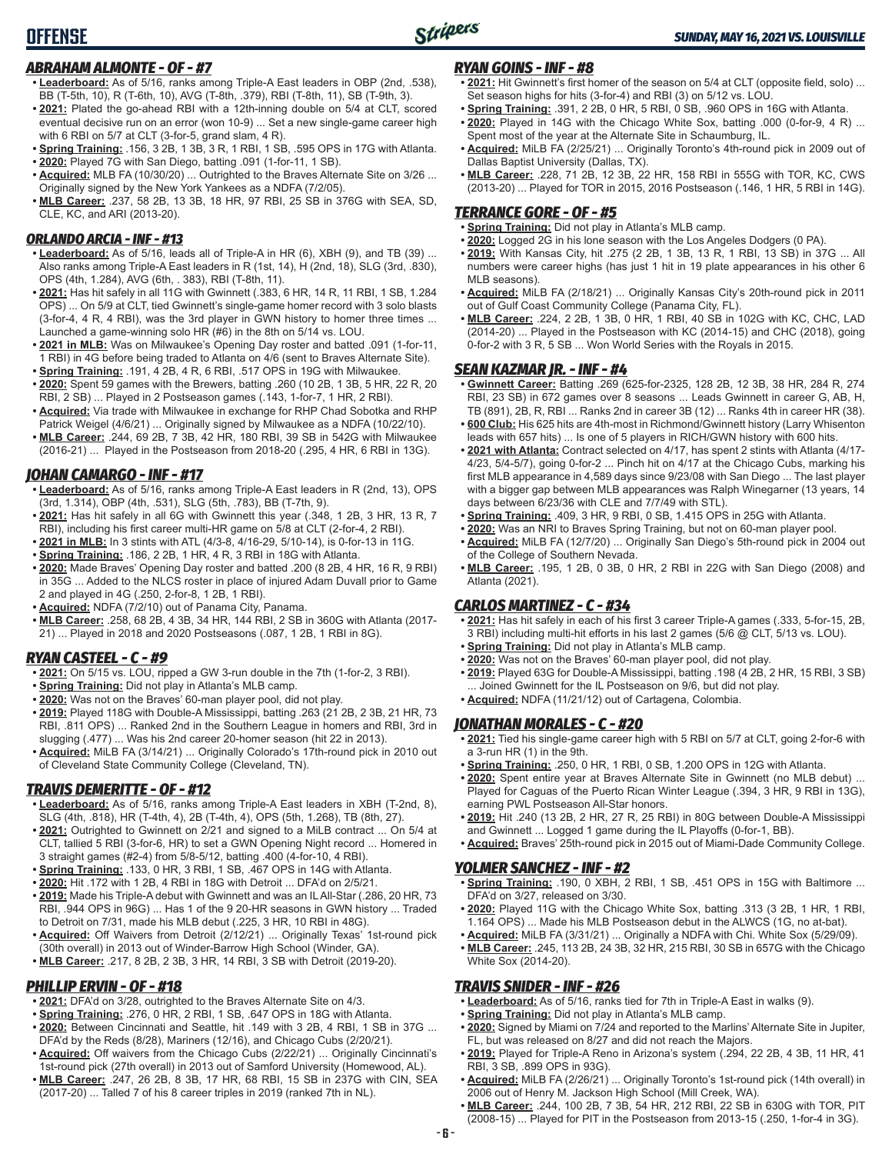## *ABRAHAM ALMONTE - OF - #7*

- **• Leaderboard:** As of 5/16, ranks among Triple-A East leaders in OBP (2nd, .538), BB (T-5th, 10), R (T-6th, 10), AVG (T-8th, .379), RBI (T-8th, 11), SB (T-9th, 3).
- **• 2021:** Plated the go-ahead RBI with a 12th-inning double on 5/4 at CLT, scored eventual decisive run on an error (won 10-9) ... Set a new single-game career high with 6 RBI on 5/7 at CLT (3-for-5, grand slam, 4 R).
- **• Spring Training:** .156, 3 2B, 1 3B, 3 R, 1 RBI, 1 SB, .595 OPS in 17G with Atlanta.
- **• 2020:** Played 7G with San Diego, batting .091 (1-for-11, 1 SB).
- **• Acquired:** MLB FA (10/30/20) ... Outrighted to the Braves Alternate Site on 3/26 ... Originally signed by the New York Yankees as a NDFA (7/2/05).
- **• MLB Career:** .237, 58 2B, 13 3B, 18 HR, 97 RBI, 25 SB in 376G with SEA, SD, CLE, KC, and ARI (2013-20).

## *ORLANDO ARCIA - INF - #13*

- **• Leaderboard:** As of 5/16, leads all of Triple-A in HR (6), XBH (9), and TB (39) ... Also ranks among Triple-A East leaders in R (1st, 14), H (2nd, 18), SLG (3rd, .830), OPS (4th, 1.284), AVG (6th, . 383), RBI (T-8th, 11).
- **• 2021:** Has hit safely in all 11G with Gwinnett (.383, 6 HR, 14 R, 11 RBI, 1 SB, 1.284 OPS) ... On 5/9 at CLT, tied Gwinnett's single-game homer record with 3 solo blasts (3-for-4, 4 R, 4 RBI), was the 3rd player in GWN history to homer three times ... Launched a game-winning solo HR (#6) in the 8th on 5/14 vs. LOU.
- **• 2021 in MLB:** Was on Milwaukee's Opening Day roster and batted .091 (1-for-11, 1 RBI) in 4G before being traded to Atlanta on 4/6 (sent to Braves Alternate Site).
- **• Spring Training:** .191, 4 2B, 4 R, 6 RBI, .517 OPS in 19G with Milwaukee. **• 2020:** Spent 59 games with the Brewers, batting .260 (10 2B, 1 3B, 5 HR, 22 R, 20 RBI, 2 SB) ... Played in 2 Postseason games (.143, 1-for-7, 1 HR, 2 RBI).
- **• Acquired:** Via trade with Milwaukee in exchange for RHP Chad Sobotka and RHP Patrick Weigel (4/6/21) ... Originally signed by Milwaukee as a NDFA (10/22/10).
- **• MLB Career:** .244, 69 2B, 7 3B, 42 HR, 180 RBI, 39 SB in 542G with Milwaukee (2016-21) ... Played in the Postseason from 2018-20 (.295, 4 HR, 6 RBI in 13G).

## *JOHAN CAMARGO - INF - #17*

- **• Leaderboard:** As of 5/16, ranks among Triple-A East leaders in R (2nd, 13), OPS (3rd, 1.314), OBP (4th, .531), SLG (5th, .783), BB (T-7th, 9).
- **• 2021:** Has hit safely in all 6G with Gwinnett this year (.348, 1 2B, 3 HR, 13 R, 7 RBI), including his first career multi-HR game on 5/8 at CLT (2-for-4, 2 RBI).
- **• 2021 in MLB:** In 3 stints with ATL (4/3-8, 4/16-29, 5/10-14), is 0-for-13 in 11G.
- **• Spring Training:** .186, 2 2B, 1 HR, 4 R, 3 RBI in 18G with Atlanta.
- **• 2020:** Made Braves' Opening Day roster and batted .200 (8 2B, 4 HR, 16 R, 9 RBI) in 35G ... Added to the NLCS roster in place of injured Adam Duvall prior to Game 2 and played in 4G (.250, 2-for-8, 1 2B, 1 RBI).
- **• Acquired:** NDFA (7/2/10) out of Panama City, Panama.
- **• MLB Career:** .258, 68 2B, 4 3B, 34 HR, 144 RBI, 2 SB in 360G with Atlanta (2017- 21) ... Played in 2018 and 2020 Postseasons (.087, 1 2B, 1 RBI in 8G).

## *RYAN CASTEEL - C - #9*

- **• 2021:** On 5/15 vs. LOU, ripped a GW 3-run double in the 7th (1-for-2, 3 RBI).
- **• Spring Training:** Did not play in Atlanta's MLB camp.
- **• 2020:** Was not on the Braves' 60-man player pool, did not play.
- **• 2019:** Played 118G with Double-A Mississippi, batting .263 (21 2B, 2 3B, 21 HR, 73 RBI, .811 OPS) ... Ranked 2nd in the Southern League in homers and RBI, 3rd in slugging (.477) ... Was his 2nd career 20-homer season (hit 22 in 2013).
- **• Acquired:** MiLB FA (3/14/21) ... Originally Colorado's 17th-round pick in 2010 out of Cleveland State Community College (Cleveland, TN).

## *TRAVIS DEMERITTE - OF - #12*

- **• Leaderboard:** As of 5/16, ranks among Triple-A East leaders in XBH (T-2nd, 8), SLG (4th, .818), HR (T-4th, 4), 2B (T-4th, 4), OPS (5th, 1.268), TB (8th, 27).
- **• 2021:** Outrighted to Gwinnett on 2/21 and signed to a MiLB contract ... On 5/4 at CLT, tallied 5 RBI (3-for-6, HR) to set a GWN Opening Night record ... Homered in 3 straight games (#2-4) from 5/8-5/12, batting .400 (4-for-10, 4 RBI).
- **• Spring Training:** .133, 0 HR, 3 RBI, 1 SB, .467 OPS in 14G with Atlanta.
- **• 2020:** Hit .172 with 1 2B, 4 RBI in 18G with Detroit ... DFA'd on 2/5/21.
- **• 2019:** Made his Triple-A debut with Gwinnett and was an IL All-Star (.286, 20 HR, 73 RBI, .944 OPS in 96G) ... Has 1 of the 9 20-HR seasons in GWN history ... Traded to Detroit on 7/31, made his MLB debut (.225, 3 HR, 10 RBI in 48G).
- **• Acquired:** Off Waivers from Detroit (2/12/21) ... Originally Texas' 1st-round pick (30th overall) in 2013 out of Winder-Barrow High School (Winder, GA). **• MLB Career:** .217, 8 2B, 2 3B, 3 HR, 14 RBI, 3 SB with Detroit (2019-20).

## *PHILLIP ERVIN - OF - #18*

- **• 2021:** DFA'd on 3/28, outrighted to the Braves Alternate Site on 4/3.
- **• Spring Training:** .276, 0 HR, 2 RBI, 1 SB, .647 OPS in 18G with Atlanta.
- **• 2020:** Between Cincinnati and Seattle, hit .149 with 3 2B, 4 RBI, 1 SB in 37G ... DFA'd by the Reds (8/28), Mariners (12/16), and Chicago Cubs (2/20/21).
- **• Acquired:** Off waivers from the Chicago Cubs (2/22/21) ... Originally Cincinnati's 1st-round pick (27th overall) in 2013 out of Samford University (Homewood, AL). **• MLB Career:** .247, 26 2B, 8 3B, 17 HR, 68 RBI, 15 SB in 237G with CIN, SEA
- (2017-20) ... Talled 7 of his 8 career triples in 2019 (ranked 7th in NL).

## *RYAN GOINS - INF - #8*

- **• 2021:** Hit Gwinnett's first homer of the season on 5/4 at CLT (opposite field, solo) ... Set season highs for hits (3-for-4) and RBI (3) on 5/12 vs. LOU.
- **• Spring Training:** .391, 2 2B, 0 HR, 5 RBI, 0 SB, .960 OPS in 16G with Atlanta.
- **• 2020:** Played in 14G with the Chicago White Sox, batting .000 (0-for-9, 4 R) ... Spent most of the year at the Alternate Site in Schaumburg, IL.
- **• Acquired:** MiLB FA (2/25/21) ... Originally Toronto's 4th-round pick in 2009 out of Dallas Baptist University (Dallas, TX).
- **• MLB Career:** .228, 71 2B, 12 3B, 22 HR, 158 RBI in 555G with TOR, KC, CWS (2013-20) ... Played for TOR in 2015, 2016 Postseason (.146, 1 HR, 5 RBI in 14G).

## *TERRANCE GORE - OF - #5*

- **• Spring Training:** Did not play in Atlanta's MLB camp.
- **• 2020:** Logged 2G in his lone season with the Los Angeles Dodgers (0 PA).
- **• 2019:** With Kansas City, hit .275 (2 2B, 1 3B, 13 R, 1 RBI, 13 SB) in 37G ... All numbers were career highs (has just 1 hit in 19 plate appearances in his other 6 MLB seasons).
- **• Acquired:** MiLB FA (2/18/21) ... Originally Kansas City's 20th-round pick in 2011 out of Gulf Coast Community College (Panama City, FL).
- **• MLB Career:** .224, 2 2B, 1 3B, 0 HR, 1 RBI, 40 SB in 102G with KC, CHC, LAD (2014-20) ... Played in the Postseason with KC (2014-15) and CHC (2018), going 0-for-2 with 3 R, 5 SB ... Won World Series with the Royals in 2015.

## *SEAN KAZMAR JR. - INF - #4*

- **• Gwinnett Career:** Batting .269 (625-for-2325, 128 2B, 12 3B, 38 HR, 284 R, 274 RBI, 23 SB) in 672 games over 8 seasons ... Leads Gwinnett in career G, AB, H, TB (891), 2B, R, RBI ... Ranks 2nd in career 3B (12) ... Ranks 4th in career HR (38).
- **• 600 Club:** His 625 hits are 4th-most in Richmond/Gwinnett history (Larry Whisenton leads with 657 hits) ... Is one of 5 players in RICH/GWN history with 600 hits.
- **• 2021 with Atlanta:** Contract selected on 4/17, has spent 2 stints with Atlanta (4/17- 4/23, 5/4-5/7), going 0-for-2 ... Pinch hit on 4/17 at the Chicago Cubs, marking his first MLB appearance in 4,589 days since 9/23/08 with San Diego ... The last player with a bigger gap between MLB appearances was Ralph Winegarner (13 years, 14 days between 6/23/36 with CLE and 7/7/49 with STL).
- **• Spring Training:** .409, 3 HR, 9 RBI, 0 SB, 1.415 OPS in 25G with Atlanta.
- **• 2020:** Was an NRI to Braves Spring Training, but not on 60-man player pool. **• Acquired:** MiLB FA (12/7/20) ... Originally San Diego's 5th-round pick in 2004 out
- of the College of Southern Nevada. **• MLB Career:** .195, 1 2B, 0 3B, 0 HR, 2 RBI in 22G with San Diego (2008) and

# Atlanta (2021).

## *CARLOS MARTINEZ - C - #34*

- **• 2021:** Has hit safely in each of his first 3 career Triple-A games (.333, 5-for-15, 2B, 3 RBI) including multi-hit efforts in his last 2 games (5/6 @ CLT, 5/13 vs. LOU).
- **• Spring Training:** Did not play in Atlanta's MLB camp.
- **• 2020:** Was not on the Braves' 60-man player pool, did not play.
- **• 2019:** Played 63G for Double-A Mississippi, batting .198 (4 2B, 2 HR, 15 RBI, 3 SB) Joined Gwinnett for the IL Postseason on 9/6, but did not play. **• Acquired:** NDFA (11/21/12) out of Cartagena, Colombia.

## *JONATHAN MORALES - C - #20*

- **• 2021:** Tied his single-game career high with 5 RBI on 5/7 at CLT, going 2-for-6 with a 3-run HR (1) in the 9th.
- **• Spring Training:** .250, 0 HR, 1 RBI, 0 SB, 1.200 OPS in 12G with Atlanta.
- **• 2020:** Spent entire year at Braves Alternate Site in Gwinnett (no MLB debut) ... Played for Caguas of the Puerto Rican Winter League (.394, 3 HR, 9 RBI in 13G), earning PWL Postseason All-Star honors.
- **• 2019:** Hit .240 (13 2B, 2 HR, 27 R, 25 RBI) in 80G between Double-A Mississippi and Gwinnett ... Logged 1 game during the IL Playoffs (0-for-1, BB).
- **• Acquired:** Braves' 25th-round pick in 2015 out of Miami-Dade Community College.

## *YOLMER SANCHEZ - INF - #2*

- **• Spring Training:** .190, 0 XBH, 2 RBI, 1 SB, .451 OPS in 15G with Baltimore ... DFA'd on 3/27, released on 3/30.
- **• 2020:** Played 11G with the Chicago White Sox, batting .313 (3 2B, 1 HR, 1 RBI, 1.164 OPS) ... Made his MLB Postseason debut in the ALWCS (1G, no at-bat).
- **• Acquired:** MiLB FA (3/31/21) ... Originally a NDFA with Chi. White Sox (5/29/09). **• MLB Career:** .245, 113 2B, 24 3B, 32 HR, 215 RBI, 30 SB in 657G with the Chicago White Sox (2014-20).

## *TRAVIS SNIDER - INF - #26*

- **• Leaderboard:** As of 5/16, ranks tied for 7th in Triple-A East in walks (9).
- **• Spring Training:** Did not play in Atlanta's MLB camp.
- **• 2020:** Signed by Miami on 7/24 and reported to the Marlins' Alternate Site in Jupiter, FL, but was released on 8/27 and did not reach the Majors.
- **• 2019:** Played for Triple-A Reno in Arizona's system (.294, 22 2B, 4 3B, 11 HR, 41 RBI, 3 SB, .899 OPS in 93G).
- **• Acquired:** MiLB FA (2/26/21) ... Originally Toronto's 1st-round pick (14th overall) in 2006 out of Henry M. Jackson High School (Mill Creek, WA).
- **• MLB Career:** .244, 100 2B, 7 3B, 54 HR, 212 RBI, 22 SB in 630G with TOR, PIT (2008-15) ... Played for PIT in the Postseason from 2013-15 (.250, 1-for-4 in 3G).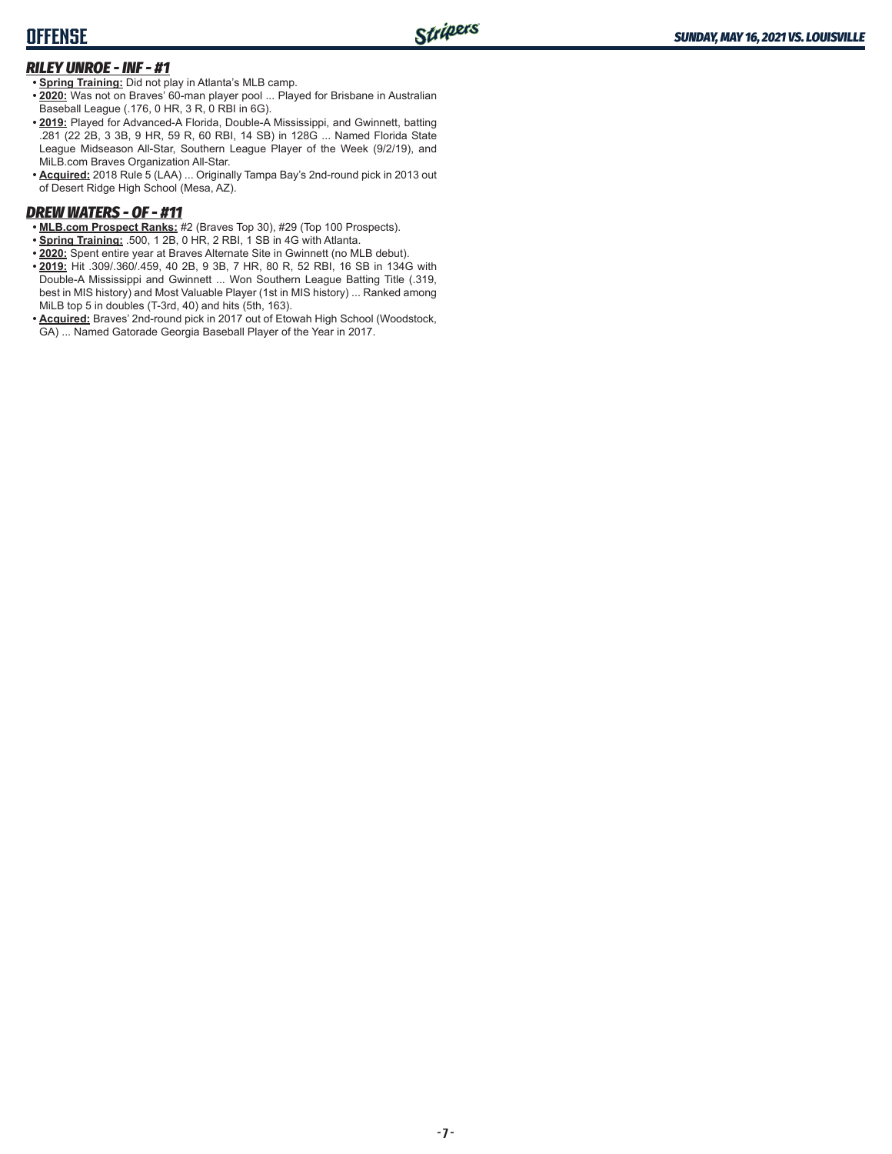# **OFFENSE**

## *RILEY UNROE - INF - #1*

**• Spring Training:** Did not play in Atlanta's MLB camp.

- **• 2020:** Was not on Braves' 60-man player pool ... Played for Brisbane in Australian Baseball League (.176, 0 HR, 3 R, 0 RBI in 6G).
- **• 2019:** Played for Advanced-A Florida, Double-A Mississippi, and Gwinnett, batting .281 (22 2B, 3 3B, 9 HR, 59 R, 60 RBI, 14 SB) in 128G ... Named Florida State League Midseason All-Star, Southern League Player of the Week (9/2/19), and MiLB.com Braves Organization All-Star.
- **• Acquired:** 2018 Rule 5 (LAA) ... Originally Tampa Bay's 2nd-round pick in 2013 out of Desert Ridge High School (Mesa, AZ).

## *DREW WATERS - OF - #11*

- **• MLB.com Prospect Ranks:** #2 (Braves Top 30), #29 (Top 100 Prospects).
- **• Spring Training:** .500, 1 2B, 0 HR, 2 RBI, 1 SB in 4G with Atlanta.
- **• 2020:** Spent entire year at Braves Alternate Site in Gwinnett (no MLB debut).
- **• 2019:** Hit .309/.360/.459, 40 2B, 9 3B, 7 HR, 80 R, 52 RBI, 16 SB in 134G with Double-A Mississippi and Gwinnett ... Won Southern League Batting Title (.319, best in MIS history) and Most Valuable Player (1st in MIS history) ... Ranked among MiLB top 5 in doubles (T-3rd, 40) and hits (5th, 163).
- **• Acquired:** Braves' 2nd-round pick in 2017 out of Etowah High School (Woodstock, GA) ... Named Gatorade Georgia Baseball Player of the Year in 2017.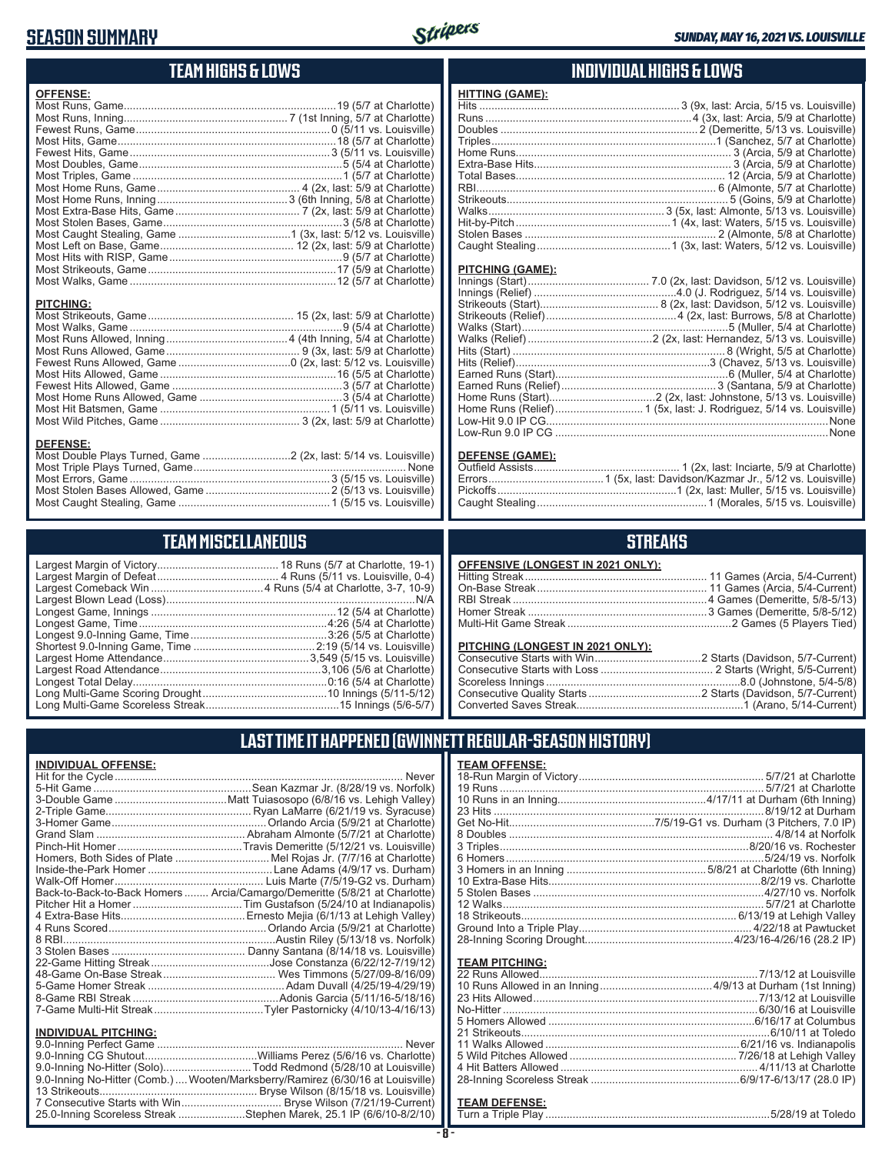# **SEASON SUMMARY**



# **TEAM HIGHS & LOWS**

| <b>OFFENSE:</b>                     |  |
|-------------------------------------|--|
|                                     |  |
|                                     |  |
|                                     |  |
|                                     |  |
|                                     |  |
|                                     |  |
|                                     |  |
|                                     |  |
|                                     |  |
|                                     |  |
|                                     |  |
|                                     |  |
| <b>PITCHING:</b><br><b>DEFENSE:</b> |  |
|                                     |  |

#### Most Triple Plays Turned, Game ...................................................................... None Most Errors, Game ..................................................................3 (5/15 vs. Louisville) Most Stolen Bases Allowed, Game .........................................2 (5/13 vs. Louisville) Most Caught Stealing, Game ..................................................1 (5/15 vs. Louisville)

## **TEAM MISCELLANEOUS**

## **INDIVIDUAL HIGHS & LOWS**

| <b>FIIIINU (UAME).</b> |  |
|------------------------|--|
|                        |  |
|                        |  |
|                        |  |
|                        |  |
|                        |  |
|                        |  |
|                        |  |
|                        |  |
|                        |  |
|                        |  |
|                        |  |
|                        |  |
|                        |  |
|                        |  |

#### **PITCHING (GAME):**

**HITTING (GAME):**

| Low-Run 9.0 IP CG …………………………………………………………………………………None |
|-------------------------------------------------------|

#### **DEFENSE (GAME):**

## **STREAKS**

| OFFENSIVE (LONGEST IN 2021 ONLY): |  |
|-----------------------------------|--|
|                                   |  |
|                                   |  |
|                                   |  |
|                                   |  |
|                                   |  |

#### **PITCHING (LONGEST IN 2021 ONLY):**

# **LAST TIME IT HAPPENED (GWINNETT REGULAR-SEASON HISTORY)**

| <b>INDIVIDUAL OFFENSE:</b>  |                                                                                |
|-----------------------------|--------------------------------------------------------------------------------|
|                             | Never                                                                          |
|                             |                                                                                |
|                             |                                                                                |
|                             |                                                                                |
|                             |                                                                                |
|                             |                                                                                |
|                             |                                                                                |
|                             | Homers, Both Sides of Plate Mel Rojas Jr. (7/7/16 at Charlotte)                |
|                             |                                                                                |
|                             |                                                                                |
|                             | Back-to-Back-to-Back Homers  Arcia/Camargo/Demeritte (5/8/21 at Charlotte)     |
|                             |                                                                                |
|                             |                                                                                |
|                             |                                                                                |
|                             |                                                                                |
|                             |                                                                                |
|                             |                                                                                |
|                             |                                                                                |
|                             |                                                                                |
|                             |                                                                                |
|                             |                                                                                |
| <b>INDIVIDUAL PITCHING:</b> |                                                                                |
|                             | Never                                                                          |
|                             |                                                                                |
|                             | 9.0-Inning No-Hitter (Solo)Todd Redmond (5/28/10 at Louisville)                |
|                             | 9.0-Inning No-Hitter (Comb.) Wooten/Marksberry/Ramirez (6/30/16 at Louisville) |
|                             |                                                                                |

7 Consecutive Starts with Win ................................. Bryse Wilson (7/21/19-Current) 25.0-Inning Scoreless Streak ......................Stephen Marek, 25.1 IP (6/6/10-8/2/10)

| <b>TEAM OFFENSE:</b> |                   |
|----------------------|-------------------|
|                      |                   |
|                      |                   |
|                      |                   |
|                      | 8/19/12 at Durham |
|                      |                   |
|                      |                   |
|                      |                   |
|                      |                   |
|                      |                   |
|                      |                   |
|                      |                   |
|                      |                   |
|                      |                   |
|                      |                   |
|                      |                   |
|                      |                   |

## **TEAM PITCHING:**

#### **TEAM DEFENSE:**